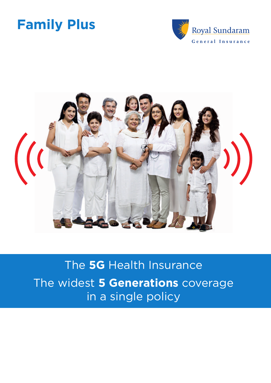



# The **5G** Health Insurance The widest **5 Generations** coverage in a single policy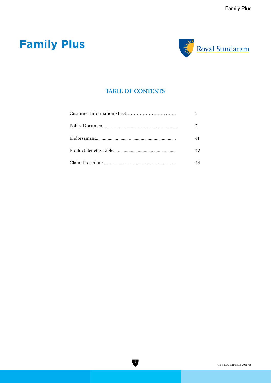

## **TABLE OF CONTENTS**

| 41 |
|----|
| 42 |
| 44 |

 $\overline{\mathbf{v}}$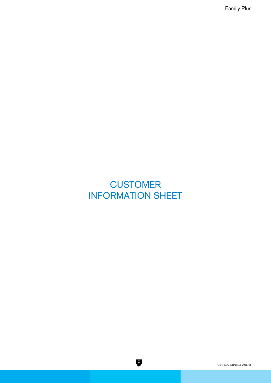## **CUSTOMER** INFORMATION SHEET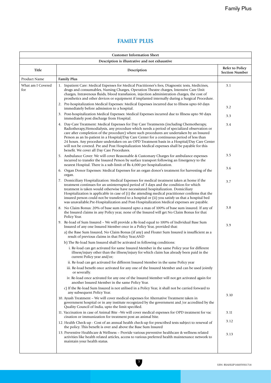## **FAMILY PLUS**

| <b>Customer Information Sheet</b>              |                                                                                                                                                                                                                                                                                                                                                                                                                                                                                                                                                                                                                                  |                                          |  |
|------------------------------------------------|----------------------------------------------------------------------------------------------------------------------------------------------------------------------------------------------------------------------------------------------------------------------------------------------------------------------------------------------------------------------------------------------------------------------------------------------------------------------------------------------------------------------------------------------------------------------------------------------------------------------------------|------------------------------------------|--|
| Description is illustrative and not exhaustive |                                                                                                                                                                                                                                                                                                                                                                                                                                                                                                                                                                                                                                  |                                          |  |
| Title                                          | Description                                                                                                                                                                                                                                                                                                                                                                                                                                                                                                                                                                                                                      | Refer to Policy<br><b>Section Number</b> |  |
| Product Name                                   | <b>Family Plus</b>                                                                                                                                                                                                                                                                                                                                                                                                                                                                                                                                                                                                               |                                          |  |
| What am I Covered<br>for                       | 1. Inpatient Care: Medical Expenses for Medical Practitioner's fees, Diagnostic tests, Medicines,<br>drugs and consumables, Nursing Charges, Operation Theatre charges, Intensive Care Unit<br>charges, Intravenous fluids, blood transfusion, injection administration charges, the cost of<br>prosthetics and other devices or equipment if implanted internally during a Surgical Procedure.                                                                                                                                                                                                                                  | 3.1                                      |  |
|                                                | 2. Pre-hospitalization Medical Expenses: Medical Expenses incurred due to Illness upto 60 days<br>immediately before admission to a hospital.                                                                                                                                                                                                                                                                                                                                                                                                                                                                                    | 3.2                                      |  |
|                                                | 3. Post-hospitalization Medical Expenses: Medical Expenses incurred due to Illness upto 90 days<br>immediately post discharge from Hospital.                                                                                                                                                                                                                                                                                                                                                                                                                                                                                     | 3.3                                      |  |
|                                                | 4. Day-Care Treatment: Medical Expenses for Day Care Treatments (including Chemotherapy,<br>Radiotherapy, Hemodialysis, any procedure which needs a period of specialized observation or<br>care after completion of the procedure) where such procedures are undertaken by an Insured<br>Person as an In-patient in a Hospital/Day Care Center for a continuous period of less than<br>24 hours. Any procedure undertaken on an OPD Treatment basis in a Hospital/Day Care Center<br>will not be covered. Pre and Post Hospitalization Medical expenses shall be payable for this<br>benefit. We cover all Day Care Procedures. | 3.4                                      |  |
|                                                | 5. Ambulance Cover: We will cover Reasonable & Customary Charges for ambulance expenses<br>incurred to transfer the Insured Person by surface transport following an Emergency to the<br>nearest Hospital. There is a sub-limit of Rs 4,000 per hospitalization.                                                                                                                                                                                                                                                                                                                                                                 | 3.5                                      |  |
|                                                | 6. Organ Donor Expenses: Medical Expenses for an organ donor's treatment for harvesting of the<br>organ.                                                                                                                                                                                                                                                                                                                                                                                                                                                                                                                         | 3.6                                      |  |
|                                                | 7. Domiciliary Hospitalization: Medical Expenses for medical treatment taken at home if the<br>treatment continues for an uninterrupted period of 3 days and the condition for which<br>treatment is taken would otherwise have necessitated hospitalization. Domiciliary<br>Hospitalization is applicable in case of (i) the attending medical practitioner confirms that the<br>insured person could not be transferred to a hospital or (ii) you satisfy us that a hospital bed<br>was unavailable.Pre-Hospitalization and Post-Hospitalization Medical expenses are payable.                                                 | 3.7                                      |  |
|                                                | 8. No Claim Bonus: 20% of base sum insured upto a max of 100% of base sum insured. If any of<br>the Insured claims in any Policy year, none of the Insured will get No Claim Bonus for that<br>Policy Year.                                                                                                                                                                                                                                                                                                                                                                                                                      | 3.8                                      |  |
|                                                | 9. Re-load of Sum Insured – We will provide a Re-load equal to 100% of Individual Base Sum<br>Insured of any one Insured Member once in a Policy Year, provided that:                                                                                                                                                                                                                                                                                                                                                                                                                                                            | 3.9                                      |  |
|                                                | a) the Base Sum Insured, No Claim Bonus (if any) and Floater Sum Insured is insufficient as a<br>result of previous claims in that Policy Year; AND                                                                                                                                                                                                                                                                                                                                                                                                                                                                              |                                          |  |
|                                                | b) The Re-load Sum Insured shall be activated in following conditions:                                                                                                                                                                                                                                                                                                                                                                                                                                                                                                                                                           |                                          |  |
|                                                | i. Re-load can get activated for same Insured Member in the same Policy year for different<br>illness/injury other than the illness/injury for which claim has already been paid in the<br>current Policy year and/or;                                                                                                                                                                                                                                                                                                                                                                                                           |                                          |  |
|                                                | ii. Re-load can get activated for different Insured Member in the same Policy year                                                                                                                                                                                                                                                                                                                                                                                                                                                                                                                                               |                                          |  |
|                                                | iii. Re-load benefit once activated for any one of the Insured Member and can be used jointly<br>or severally.                                                                                                                                                                                                                                                                                                                                                                                                                                                                                                                   |                                          |  |
|                                                | iv. Re-load once activated for any one of the Insured Member will not get activated again for<br>another Insured Member in the same Policy Year.                                                                                                                                                                                                                                                                                                                                                                                                                                                                                 |                                          |  |
|                                                | c) If the Re-load Sum Insured is not utilised in a Policy Year, it shall not be carried forward to<br>any subsequent Policy Year.                                                                                                                                                                                                                                                                                                                                                                                                                                                                                                | 3.10                                     |  |
|                                                | 10. Ayush Treatment - We will cover medical expenses for Alternative Treatment taken in<br>government hospital or in any institute recognized by the government and /or accredited by the<br>Quality Council of India, upto the limit specified.                                                                                                                                                                                                                                                                                                                                                                                 |                                          |  |
|                                                | 11. Vaccination in case of Animal Bite -We will cover medical expenses for OPD treatment for vac<br>cination or immunization for treatment post an animal bite.                                                                                                                                                                                                                                                                                                                                                                                                                                                                  | 3.11                                     |  |
|                                                | 12. Health Check-up - Cost of an annual health check-up for prescribed tests subject to renewal of<br>the policy. This benefit is over and above the Base Sum Insured                                                                                                                                                                                                                                                                                                                                                                                                                                                            | 3.12                                     |  |
|                                                | 13. Preventive Healthcare & Wellness - Provide various preventive healthcare & wellness related<br>activities like health related articles, access to various preferred health maintenance network to<br>maintain your health status.                                                                                                                                                                                                                                                                                                                                                                                            | 3.13                                     |  |
|                                                |                                                                                                                                                                                                                                                                                                                                                                                                                                                                                                                                                                                                                                  |                                          |  |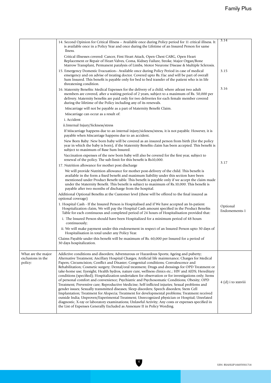|                                                    | 14. Second Opinion for Critical Illness – Available once during Policy period for 11 critical illness. It<br>is available once in a Policy Year and once during the Lifetime of an Insured Person for same<br>llness.                                                                                                                                                                                                                                                                                                                                                                                                                                                                                                                                                                                                                                                                                                                                                                                                                                                                                                                                                                                                                                                                                | 3.14                       |
|----------------------------------------------------|------------------------------------------------------------------------------------------------------------------------------------------------------------------------------------------------------------------------------------------------------------------------------------------------------------------------------------------------------------------------------------------------------------------------------------------------------------------------------------------------------------------------------------------------------------------------------------------------------------------------------------------------------------------------------------------------------------------------------------------------------------------------------------------------------------------------------------------------------------------------------------------------------------------------------------------------------------------------------------------------------------------------------------------------------------------------------------------------------------------------------------------------------------------------------------------------------------------------------------------------------------------------------------------------------|----------------------------|
|                                                    | Critical illnesses covered: Cancer, First Heart Attack, Open Chest CABG, Open Heart<br>Replacement or Repair of Heart Valves, Coma, Kidney Failure, Stroke, Major Organ/Bone<br>Marrow Transplant, Permanent paralysis of Limbs, Motor Neurone Disease & Multiple Sclerosis.                                                                                                                                                                                                                                                                                                                                                                                                                                                                                                                                                                                                                                                                                                                                                                                                                                                                                                                                                                                                                         |                            |
|                                                    | 15. Emergency Domestic Evacuation- Available once during Policy Period in case of medical<br>emergency and on advise of treating doctor. Covered upto Rs.1lac and will be part of overall<br>Sum Insured. This benefit is payable only for bed to bed transfer of the patient who is in life<br>threatening condition.                                                                                                                                                                                                                                                                                                                                                                                                                                                                                                                                                                                                                                                                                                                                                                                                                                                                                                                                                                               | 3.15                       |
|                                                    | 16. Maternity Benefits: Medical Expenses for the delivery of a child, where atleast two adult<br>members are covered, after a waiting period of 2 years, subject to a maximum of Rs. 50,000 per<br>delivery. Maternity benefits are paid only for two deliveries for each female member covered<br>during the lifetime of the Policy including any of its renewals.                                                                                                                                                                                                                                                                                                                                                                                                                                                                                                                                                                                                                                                                                                                                                                                                                                                                                                                                  | 3.16                       |
|                                                    | Miscarriage will not be payable as a part of Maternity Benefit Claim.                                                                                                                                                                                                                                                                                                                                                                                                                                                                                                                                                                                                                                                                                                                                                                                                                                                                                                                                                                                                                                                                                                                                                                                                                                |                            |
|                                                    | Miscarriage can occur as a result of:                                                                                                                                                                                                                                                                                                                                                                                                                                                                                                                                                                                                                                                                                                                                                                                                                                                                                                                                                                                                                                                                                                                                                                                                                                                                |                            |
|                                                    | i. Accident                                                                                                                                                                                                                                                                                                                                                                                                                                                                                                                                                                                                                                                                                                                                                                                                                                                                                                                                                                                                                                                                                                                                                                                                                                                                                          |                            |
|                                                    | ii.Internal Injury/Sickness/stress                                                                                                                                                                                                                                                                                                                                                                                                                                                                                                                                                                                                                                                                                                                                                                                                                                                                                                                                                                                                                                                                                                                                                                                                                                                                   |                            |
|                                                    | If Miscarriage happens due to an internal injury/sickness/stress, it is not payable. However, it is<br>payable when Miscarriage happens due to an accident.                                                                                                                                                                                                                                                                                                                                                                                                                                                                                                                                                                                                                                                                                                                                                                                                                                                                                                                                                                                                                                                                                                                                          |                            |
|                                                    | New Born Baby: New born baby will be covered as an insured person from birth (for the policy<br>year in which the baby is born), if the Maternity Benefits claim has been accepted. This benefit is<br>subject to maximum of Base Sum Insured.                                                                                                                                                                                                                                                                                                                                                                                                                                                                                                                                                                                                                                                                                                                                                                                                                                                                                                                                                                                                                                                       |                            |
|                                                    | Vaccination expenses of the new born baby will also be covered for the first year, subject to<br>renewal of the policy. The sub-limit for this benefit is Rs10,000.                                                                                                                                                                                                                                                                                                                                                                                                                                                                                                                                                                                                                                                                                                                                                                                                                                                                                                                                                                                                                                                                                                                                  | 3.17                       |
|                                                    | 17. Nutrition allowance for mother post discharge                                                                                                                                                                                                                                                                                                                                                                                                                                                                                                                                                                                                                                                                                                                                                                                                                                                                                                                                                                                                                                                                                                                                                                                                                                                    |                            |
|                                                    | We will provide Nutrition allowance for mother post-delivery of the child. This benefit is<br>available in the form a fixed benefit and maximum liability under this section have been<br>mentioned under Product Benefit table. This benefit is payable only if we accept the claim made<br>under the Maternity Benefit. This benefit is subject to maximum of Rs. 10,000. This benefit is<br>payable after two months of discharge from the hospital.                                                                                                                                                                                                                                                                                                                                                                                                                                                                                                                                                                                                                                                                                                                                                                                                                                              |                            |
|                                                    | Additional Optional Benefits at the Customer level (these will be offered to the final insured as<br>optional coverage)                                                                                                                                                                                                                                                                                                                                                                                                                                                                                                                                                                                                                                                                                                                                                                                                                                                                                                                                                                                                                                                                                                                                                                              |                            |
|                                                    | 1. Hospital Cash - If the Insured Person is Hospitalised and if We have accepted an In-patient<br>Hospitalization claim, We will pay the Hospital Cash amount specified in the Product Benefits<br>Table for each continuous and completed period of 24 hours of Hospitalisation provided that:                                                                                                                                                                                                                                                                                                                                                                                                                                                                                                                                                                                                                                                                                                                                                                                                                                                                                                                                                                                                      | Optional<br>Endorsements-1 |
|                                                    | i. The Insured Person should have been Hospitalized for a minimum period of 48 hours<br>continuously;                                                                                                                                                                                                                                                                                                                                                                                                                                                                                                                                                                                                                                                                                                                                                                                                                                                                                                                                                                                                                                                                                                                                                                                                |                            |
|                                                    | ii. We will make payment under this endorsement in respect of an Insured Person upto 30 days of<br>Hospitalisation in total under any Policy Year.                                                                                                                                                                                                                                                                                                                                                                                                                                                                                                                                                                                                                                                                                                                                                                                                                                                                                                                                                                                                                                                                                                                                                   |                            |
|                                                    | Claims Payable under this benefit will be maximum of Rs. 60,000 per Insured for a period of<br>30 days hospitalization.                                                                                                                                                                                                                                                                                                                                                                                                                                                                                                                                                                                                                                                                                                                                                                                                                                                                                                                                                                                                                                                                                                                                                                              |                            |
| What are the major<br>exclusions in the<br>policy: | Addictive conditions and disorders; Adventurous or Hazardous Sports; Ageing and puberty;<br>Alternative Treatment; Ancillary Hospital Charges; Artificial life maintenance; Charges for Medical<br>Papers; Circumcision; Conflict and Disaster; Congenital conditions; Convalescence and<br>Rehabilitation; Cosmetic surgery; Dental/oral treatment; Drugs and dressings for OPD Treatment or<br>take-home use; Eyesight; Health hydros, nature cure, wellness clinics etc.; HIV and AIDS; Hereditary<br>conditions (specified); Hospitalization undertaken for observation or for investigations only; Items<br>of personal comfort and convenience; Psychiatric and Psychosomatic Conditions; Obesity; OPD<br>Treatment; Preventive care; Reproductive Medicine; Self-inflicted injuries; Sexual problems and<br>gender issues; Sexually transmitted diseases; Sleep disorders; Speech disorders; Stem Cell<br>Implantation; Treatment for Alopecia; Treatment for developmental problems; Treatment received<br>outside India; Unproven/Experimental Treatment; Unrecognized physician or Hospital; Unrelated<br>diagnostic, X-ray or laboratory examinations; Unlawful Activity; Any costs or expenses specified in<br>the List of Expenses Generally Excluded as Annexure II in Policy Wording. | 4 (d) i to xxxviii         |
|                                                    |                                                                                                                                                                                                                                                                                                                                                                                                                                                                                                                                                                                                                                                                                                                                                                                                                                                                                                                                                                                                                                                                                                                                                                                                                                                                                                      |                            |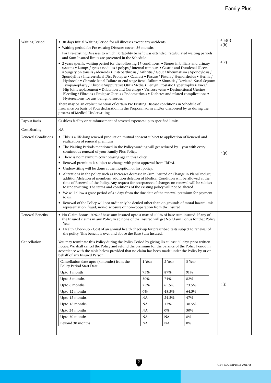| <b>Waiting Period</b> | • 30 days Initial Waiting Period for all illnesses except any accidents.                                                                                                                                                                                                                                                                                                                                                                                                                                                                                                                                                                                                                                                                                                                                                                         |        |        |        | 4(a)(i) |
|-----------------------|--------------------------------------------------------------------------------------------------------------------------------------------------------------------------------------------------------------------------------------------------------------------------------------------------------------------------------------------------------------------------------------------------------------------------------------------------------------------------------------------------------------------------------------------------------------------------------------------------------------------------------------------------------------------------------------------------------------------------------------------------------------------------------------------------------------------------------------------------|--------|--------|--------|---------|
|                       | • Waiting period for Pre-existing Diseases cover: 36 months                                                                                                                                                                                                                                                                                                                                                                                                                                                                                                                                                                                                                                                                                                                                                                                      |        |        | 4(b)   |         |
|                       | For Pre-existing Diseases to which Portability benefit was extended, recalculated waiting periods<br>and Sum Insured limits are presented in the Schedule                                                                                                                                                                                                                                                                                                                                                                                                                                                                                                                                                                                                                                                                                        |        |        |        |         |
|                       | • 2 years specific waiting period for the following 17 conditions: • Stones in billiary and urinary<br>systems • Lumps / cysts / nodules / polyps / internal tumours • Gastric and Duodenal Ulcers<br>• Surgery on tonsils /adenoids • Osteoarthrosis / Arthritis / Gout / Rheumatism / Spondylosis /<br>Spondylitis / Intervertebral Disc Prolapse • Cataract • Fissure / Fistula / Hemorrhoids • Hernia /<br>Hydrocele • Chronic Renal Failure or end stage Renal Failure • Sinusitis / Deviated Nasal Septum<br>Tympanoplasty / Chronic Suppurative Otitis Media • Benign Prostatic Hypertrophy • Knee/<br>Hip Joint replacement • Dilatation and Curettage • Varicose veins • Dysfunctional Uterine<br>Bleeding / Fibroids / Prolapse Uterus / Endometriosis • Diabetes and related complications •<br>Hysterectomy for any benign disorder. |        |        | 4(c)   |         |
|                       | There may be an explicit mention of certain Pre Existing Disease conditions in Schedule of<br>Insurance on basis of Your declaration in the Proposal Form and/or discovered by us during the<br>process of Medical Underwriting.                                                                                                                                                                                                                                                                                                                                                                                                                                                                                                                                                                                                                 |        |        |        |         |
| Payout Basis          | Cashless facility or reimbursement of covered expenses up to specified limits.                                                                                                                                                                                                                                                                                                                                                                                                                                                                                                                                                                                                                                                                                                                                                                   |        |        |        |         |
| Cost Sharing          | NA                                                                                                                                                                                                                                                                                                                                                                                                                                                                                                                                                                                                                                                                                                                                                                                                                                               |        |        |        |         |
| Renewal Conditions    | • This is a life-long renewal product on mutual consent subject to application of Renewal and<br>realization of renewal premium                                                                                                                                                                                                                                                                                                                                                                                                                                                                                                                                                                                                                                                                                                                  |        |        |        |         |
|                       | • The Waiting Periods mentioned in the Policy wording will get reduced by 1 year with every<br>continuous renewal of your Family Plus Policy.                                                                                                                                                                                                                                                                                                                                                                                                                                                                                                                                                                                                                                                                                                    |        |        |        | 6(p)    |
|                       | • There is no maximum cover ceasing age in this Policy.                                                                                                                                                                                                                                                                                                                                                                                                                                                                                                                                                                                                                                                                                                                                                                                          |        |        |        |         |
|                       | • Renewal premium is subject to change with prior approval from IRDAI.                                                                                                                                                                                                                                                                                                                                                                                                                                                                                                                                                                                                                                                                                                                                                                           |        |        |        |         |
|                       | • Underwriting will be done at the inception of first policy.                                                                                                                                                                                                                                                                                                                                                                                                                                                                                                                                                                                                                                                                                                                                                                                    |        |        |        |         |
|                       | • Alterations in the policy such as Increase/ decrease in Sum Insured or Change in Plan/Product,<br>addition/deletion of members, addition deletion of Medical Condition will be allowed at the<br>time of Renewal of the Policy. Any request for acceptance of changes on renewal will be subject<br>to underwriting. The terms and conditions of the existing policy will not be altered                                                                                                                                                                                                                                                                                                                                                                                                                                                       |        |        |        |         |
|                       | • We will allow a grace period of 45 days from the due date of the renewal premium for payment                                                                                                                                                                                                                                                                                                                                                                                                                                                                                                                                                                                                                                                                                                                                                   |        |        |        |         |
|                       | to us.<br>• Renewal of the Policy will not ordinarily be denied other than on grounds of moral hazard, mis<br>representation, fraud, non-disclosure or non-cooperation from the insured                                                                                                                                                                                                                                                                                                                                                                                                                                                                                                                                                                                                                                                          |        |        |        |         |
| Renewal Benefits:     | • No Claim Bonus: 20% of base sum insured upto a max of 100% of base sum insured. If any of                                                                                                                                                                                                                                                                                                                                                                                                                                                                                                                                                                                                                                                                                                                                                      |        |        |        |         |
|                       | the Insured claims in any Policy year, none of the Insured will get No Claim Bonus for that Policy<br>Year.                                                                                                                                                                                                                                                                                                                                                                                                                                                                                                                                                                                                                                                                                                                                      |        |        |        |         |
|                       | • Health Check-up - Cost of an annual health check-up for prescribed tests subject to renewal of<br>the policy. This benefit is over and above the Base Sum Insured.                                                                                                                                                                                                                                                                                                                                                                                                                                                                                                                                                                                                                                                                             |        |        |        |         |
| Cancellation          | You may terminate this Policy during the Policy Period by giving Us at least 30 days prior written<br>notice. We shall cancel the Policy and refund the premium for the balance of the Policy Period in<br>accordance with the table below provided that no claim has been made under the Policy by or on<br>behalf of any Insured Person.                                                                                                                                                                                                                                                                                                                                                                                                                                                                                                       |        |        |        |         |
|                       | Cancellation date upto (x months) from the<br>Policy Period Start Date                                                                                                                                                                                                                                                                                                                                                                                                                                                                                                                                                                                                                                                                                                                                                                           | 1 Year | 2 Year | 3 Year |         |
|                       | Upto 1 month                                                                                                                                                                                                                                                                                                                                                                                                                                                                                                                                                                                                                                                                                                                                                                                                                                     | 75%    | 87%    | 91%    |         |
|                       | Upto 3 months                                                                                                                                                                                                                                                                                                                                                                                                                                                                                                                                                                                                                                                                                                                                                                                                                                    | 50%    | 74%    | 82%    |         |
|                       | Upto 6 months                                                                                                                                                                                                                                                                                                                                                                                                                                                                                                                                                                                                                                                                                                                                                                                                                                    | 25%    | 61.5%  | 73.5%  | 6(j)    |
|                       | Upto 12 months                                                                                                                                                                                                                                                                                                                                                                                                                                                                                                                                                                                                                                                                                                                                                                                                                                   | 0%     | 48.5%  | 64.5%  |         |
|                       | Upto 15 months                                                                                                                                                                                                                                                                                                                                                                                                                                                                                                                                                                                                                                                                                                                                                                                                                                   | NA     | 24.5%  | 47%    |         |
|                       | Upto 18 months                                                                                                                                                                                                                                                                                                                                                                                                                                                                                                                                                                                                                                                                                                                                                                                                                                   | NA     | 12%    | 38.5%  |         |
|                       | Upto 24 months                                                                                                                                                                                                                                                                                                                                                                                                                                                                                                                                                                                                                                                                                                                                                                                                                                   | NA     | 0%     | 30%    |         |
|                       | Upto 30 months                                                                                                                                                                                                                                                                                                                                                                                                                                                                                                                                                                                                                                                                                                                                                                                                                                   | NA     | NA     | 8%     |         |
|                       | Beyond 30 months                                                                                                                                                                                                                                                                                                                                                                                                                                                                                                                                                                                                                                                                                                                                                                                                                                 | NA     | NA     | 0%     |         |
|                       |                                                                                                                                                                                                                                                                                                                                                                                                                                                                                                                                                                                                                                                                                                                                                                                                                                                  |        |        |        |         |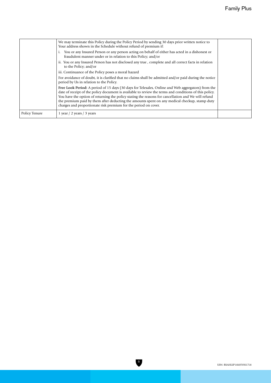|               | We may terminate this Policy during the Policy Period by sending 30 days prior written notice to<br>Your address shown in the Schedule without refund of premium if:                                                                                                                                                                                                                                                                                                                    |  |
|---------------|-----------------------------------------------------------------------------------------------------------------------------------------------------------------------------------------------------------------------------------------------------------------------------------------------------------------------------------------------------------------------------------------------------------------------------------------------------------------------------------------|--|
|               | You or any Insured Person or any person acting on behalf of either has acted in a dishonest or<br>fraudulent manner under or in relation to this Policy; and/or                                                                                                                                                                                                                                                                                                                         |  |
|               | ii. You or any Insured Person has not disclosed any true, complete and all correct facts in relation<br>to the Policy; and/or                                                                                                                                                                                                                                                                                                                                                           |  |
|               | iii. Continuance of the Policy poses a moral hazard                                                                                                                                                                                                                                                                                                                                                                                                                                     |  |
|               | For avoidance of doubt, it is clarified that no claims shall be admitted and/or paid during the notice<br>period by Us in relation to the Policy.                                                                                                                                                                                                                                                                                                                                       |  |
|               | Free Look Period: A period of 15 days (30 days for Telesales, Online and Web aggregators) from the<br>date of receipt of the policy document is available to review the terms and conditions of this policy.<br>You have the option of returning the policy stating the reasons for cancellation and We will refund<br>the premium paid by them after deducting the amounts spent on any medical checkup, stamp duty<br>charges and proportionate risk premium for the period on cover. |  |
| Policy Tenure | 1 year $/$ 2 years $/$ 3 years                                                                                                                                                                                                                                                                                                                                                                                                                                                          |  |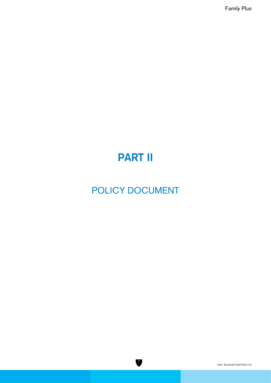# **PART II**

# POLICY DOCUMENT

7

UIN: RSAHLIP18105V011718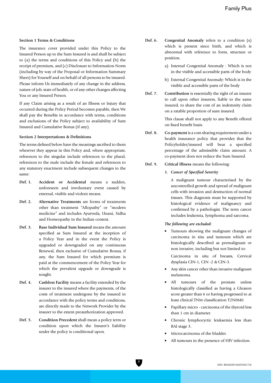#### **Section 1 Terms & Conditions**

The insurance cover provided under this Policy to the Insured Person up to the Sum Insured is and shall be subject to (a) the terms and conditions of this Policy and (b) the receipt of premium, and (c) Disclosure to Information Norm (including by way of the Proposal or Information Summary Sheet) for Yourself and on behalf of all persons to be insured. Please inform Us immediately of any change in the address, nature of job, state of health, or of any other changes affecting You or any Insured Person.

If any Claim arising as a result of an Illness or Injury that occurred during the Policy Period becomes payable, then We shall pay the Benefits in accordance with terms, conditions and exclusions of the Policy subject to availability of Sum Insured and Cumulative Bonus (if any).

#### **Section 2 Interpretations & Definitions**

The terms defined below have the meanings ascribed to them wherever they appear in this Policy and, where appropriate, references to the singular include references to the plural, references to the male include the female and references to any statutory enactment include subsequent changes to the same:

- **Def. 1. Accident or Accidental** means a sudden, unforeseen and involuntary event caused by external, visible and violent means.
- **Def. 2. Alternative Treatments** are forms of treatments other than treatment "Allopathy" or "modern medicine" and includes Ayurveda, Unani, Sidha and Homeopathy in the Indian context.
- **Def. 3. Base Individual Sum Insured** means the amount specified as Sum Insured at the inception of a Policy Year and in the event the Policy is upgraded or downgraded on any continuous Renewal, then exclusive of Cumulative Bonus, if any, the Sum Insured for which premium is paid at the commencement of the Policy Year for which the prevalent upgrade or downgrade is sought.
- **Def. 4. Cashless Facility** means a facility extended by the insurer to the insured where the payments, of the costs of treatment undergone by the insured in accordance with the policy terms and conditions, are directly made to the Network Provider by the insurer to the extent preauthorization approved.
- **Def. 5. Condition Precedent** shall mean a policy term or condition upon which the Insurer's liability under the policy is conditional upon.
- **Def. 6. Congenital Anomaly** refers to a condition (s) which is present since birth, and which is abnormal with reference to form, structure or position.
	- a) Internal Congenital Anomaly : Which is not in the visible and accessible parts of the body
	- b) External Congenital Anomaly: Which is in the visible and accessible parts of the body
- **Def. 7. Contribution** is essentially the right of an insurer to call upon other insurers, liable to the same insured, to share the cost of an indemnity claim on a ratable proportion of sum insured.

 This clause shall not apply to any Benefit offered on fixed benefit basis.

- **Def. 8. Co-payment** is a cost-sharing requirement under a health insurance policy that provides that the Policyholder/insured will bear a specified percentage of the admissible claim amount. A co-payment does not reduce the Sum Insured.
- **Def. 9. Critical Illness** means the following:
	- *1. Cancer of Specified Severity*

 A malignant tumour characterised by the uncontrolled growth and spread of malignant cells with invasion and destruction of normal tissues. This diagnosis must be supported by histological evidence of malignancy and confirmed by a pathologist. The term cancer includes leukemia, lymphoma and sarcoma.

#### *The following are excluded:*

• Tumours showing the malignant changes of carcinoma in situ and tumours which are histologically described as premalignant or non invasive, including but not limited to:

 Carcinoma in situ of breasts, Cervical dysplasia CIN-1, CIN -2 & CIN-3.

- Any skin cancer other than invasive malignant melanoma.
- All tumours of the prostate unless histologically classified as having a Gleason score greater than 6 or having progressed to at least clinical TNM classification T2N0M0.
- Papillary micro carcinoma of the thyroid less than 1 cm in diameter.
- Chronic lymphocyctic leukaemia less than RAI stage 3.
- Microcarcinoma of the bladder.
- All tumours in the presence of HIV infection.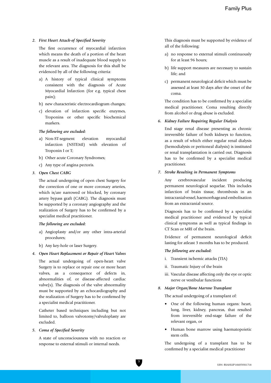#### *2. First Heart Attack-of Specified Severity*

 The first occurrence of myocardial infarction which means the death of a portion of the heart muscle as a result of inadequate blood supply to the relevant area. The diagnosis for this shall be evidenced by all of the following criteria:

- a) A history of typical clinical symptoms consistent with the diagnosis of Acute Myocardial Infarction (for e.g. typical chest pain);
- b) new characteristic electrocardiogram changes;
- c) elevation of infarction specific enzymes, Troponins or other specific biochemical markers.

#### *The following are excluded:*

- a) Non-ST-segment elevation myocardial infarction (NSTEMI) with elevation of Troponin I or T;
- b) Other acute Coronary Syndromes;
- c) Any type of angina pectoris.

#### *3. Open Chest CABG*

 The actual undergoing of open chest Surgery for the correction of one or more coronary arteries, which is/are narrowed or blocked, by coronary artery bypass graft (CABG). The diagnosis must be supported by a coronary angiography and the realization of Surgery has to be confirmed by a specialist medical practitioner.

#### *The following are excluded:*

- a) Angioplasty and/or any other intra-arterial procedures;
- b) Any key-hole or laser Surgery.

#### *4. Open Heart Replacement or Repair of Heart Valves*

 The actual undergoing of open-heart valve Surgery is to replace or repair one or more heart valves, as a consequence of defects in, abnormalities of, or disease-affected cardiac valve(s). The diagnosis of the valve abnormality must be supported by an echocardiography and the realization of Surgery has to be confirmed by a specialist medical practitioner.

 Catheter based techniques including but not limited to, balloon valvotomy/valvuloplasty are excluded.

#### *5. Coma of Specified Severity*

 A state of unconsciousness with no reaction or response to external stimuli or internal needs.

 This diagnosis must be supported by evidence of all of the following:

- a) no response to external stimuli continuously for at least 96 hours;
- b) life support measures are necessary to sustain life; and
- c) permanent neurological deficit which must be assessed at least 30 days after the onset of the coma.

 The condition has to be confirmed by a specialist medical practitioner. Coma resulting directly from alcohol or drug abuse is excluded.

#### *6. Kidney Failure Requiring Regular Dialysis*

 End stage renal disease presenting as chronic irreversible failure of both kidneys to function, as a result of which either regular renal dialysis (hemodialysis or peritoneal dialysis) is instituted or renal transplantation is carried out. Diagnosis has to be confirmed by a specialist medical practitioner.

#### *7. Stroke Resulting in Permanent Symptoms*

 Any cerebrovascular incident producing permanent neurological sequelae. This includes infarction of brain tissue, thrombosis in an intracranial vessel, haemorrhage and embolisation from an extracranial source.

 Diagnosis has to be confirmed by a specialist medical practitioner and evidenced by typical clinical symptoms as well as typical findings in CT Scan or MRI of the brain.

 Evidence of permanent neurological deficit lasting for atleast 3 months has to be produced.

#### *The following are excluded:*

- i. Transient ischemic attacks (TIA)
- ii. Traumatic Injury of the brain
- iii. Vascular disease affecting only the eye or optic nerve or vestibular functions

#### *8. Major Organ/Bone Marrow Transplant*

The actual undergoing of a transplant of:

- One of the following human organs: heart, lung, liver, kidney, pancreas, that resulted from irreversible end-stage failure of the relevant organ, or
- Human bone marrow using haematopoietic stem cells.

 The undergoing of a transplant has to be confirmed by a specialist medical practitioner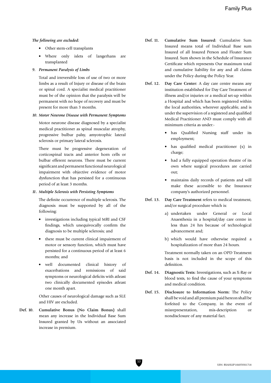#### *The following are excluded:*

- Other stem-cell transplants
- Where only islets of langerhans are transplanted

#### *9. Permanent Paralysis of Limbs*

 Total and irreversible loss of use of two or more limbs as a result of Injury or disease of the brain or spinal cord. A specialist medical practitioner must be of the opinion that the paralysis will be permanent with no hope of recovery and must be present for more than 3 months.

#### *10. Motor Neurone Disease with Permanent Symptoms*

 Motor neurone disease diagnosed by a specialist medical practitioner as spinal muscular atrophy, progressive bulbar palsy, amyotrophic lateral sclerosis or primary lateral sclerosis.

 There must be progressive degeneration of corticospinal tracts and anterior horn cells or bulbar efferent neurons. There must be current significant and permanent functional neurological impairment with objective evidence of motor dysfunction that has persisted for a continuous period of at least 3 months.

#### *11. Multiple Sclerosis with Persisting Symptoms*

 The definite occurrence of multiple sclerosis. The diagnosis must be supported by all of the following:

- investigations including typical MRI and CSF findings, which unequivocally confirm the diagnosis to be multiple sclerosis; and
- there must be current clinical impairment of motor or sensory function, which must have persisted for a continuous period of at least 6 months; and
- well documented clinical history of exacerbations and remissions of said symptoms or neurological deficits with atleast two clinically documented episodes atleast one month apart.

 Other causes of neurological damage such as SLE and HIV are excluded.

**Def. 10. Cumulative Bonus (No Claim Bonus)** shall mean any increase in the Individual Base Sum Insured granted by Us without an associated increase in premium.

- **Def. 11. Cumulative Sum Insured:** Cumulative Sum Insured means total of Individual Base sum Insured of all Insured Person and Floater Sum Insured. Sum shown in the Schedule of Insurance Certificate which represents Our maximum total and cumulative liability for any and all claims under the Policy during the Policy Year.
- **Def. 12. Day Care Center:** A day care centre means any institution established for Day Care Treatment of illness and/or injuries or a medical set-up within a Hospital and which has been registered within the local authorities, wherever applicable, and is under the supervision of a registered and qualified Medical Practitioner AND must comply with all minimum criteria as under:
	- has Qualified Nursing staff under its employment;
	- has qualified medical practitioner (s) in charge;
	- had a fully equipped operation theatre of its own where surgical procedures are carried out;
	- maintains daily records of patients and will make these accessible to the Insurance company's authorized personnel.
- **Def. 13. Day Care Treatment** refers to medical treatment, and/or surgical procedure which is:
	- a) undertaken under General or Local Anaesthesia in a hospital/day care centre in less than 24 hrs because of technological advancement and;
	- b) which would have otherwise required a hospitalization of more than 24 hours.

 Treatment normally taken on an OPD Treatment basis is not included in the scope of this definition.

- **Def. 14. Diagnostic Tests:** Investigations, such as X-Ray or blood tests, to find the cause of your symptoms and medical condition.
- **Def. 15. Disclosure to Information Norm:** The Policy shall be void and all premium paid hereon shall be forfeited to the Company, in the event of misrepresentation, mis-description or nondisclosure of any material fact.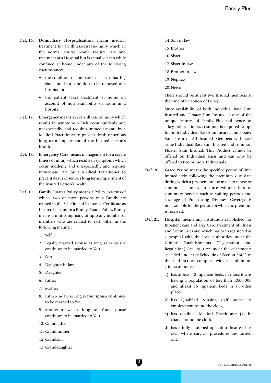- **Def. 16. Domiciliary Hospitalisation:** means medical treatment for an Illness/disease/injury which in the normal course would require care and treatment at a Hospital but is actually taken while confined at home under any of the following circumstances:
	- the condition of the patient is such that he/ she is not in a condition to be removed to a hospital or;
	- the patient takes treatment at home on account of non availability of room in a hospital.
- **Def. 17. Emergency** means a severe illness or injury which results in symptoms which occur suddenly and unexpectedly, and requires immediate care by a Medical Practitioner to prevent death or serious long term impairment of the Insured Person's health.
- **Def. 18. Emergency Care** means management for a severe Illness or injury which results in symptoms which occur suddenly and unexpectedly, and requires immediate care by a Medical Practitioner to prevent death or serious long term impairment of the Insured Person's health.
- **Def. 19. Family Floater Policy** means a Policy in terms of which, two or more persons of a Family are named in the Schedule of Insurance Certificate as Insured Persons. In a Family Floater Policy, Family means a unit comprising of upto any number of members who are related to each other in the following manner:
	- 1. Self
	- 2. Legally married spouse as long as he or she continues to be married to You
	- 3. Son
	- 4. Daughter-in-law
	- 5. Daughter
	- 6. Father
	- 7. Mother
	- 8. Father-in-law as long as Your spouse continues to be married to You
	- 9. Mother-in-law as long as Your spouse continues to be married to You
	- 10. Grandfather
	- 11. Grandmother
	- 12. Grandson
	- 13. Granddaughter
- 14. Son-in-law
- 15. Brother
- 16. Sister
- 17. Sister-in-law
- 18. Brother-in-law
- 19.Nephew

20. Niece

 There should be atleast two Insured members at the time of inception of Policy.

 Since availability of both Individual Base Sum Insured and Floater Sum Insured is one of the unique features of Family Plus and hence, as a key policy criteria, customer is required to opt for both Individual Base Sum Insured and Floater Sum Insured. All Insured Members will have same Individual Base Sum Insured and common Floater Sum Insured. This Product cannot be offered on Individual basis and can only be offered to two or more Individuals.

- **Def. 20. Grace Period** means the specified period of time immediately following the premium due date during which a payment can be made to renew or continue a policy in force without loss of continuity benefits such as waiting periods and coverage of Pre-existing Diseases. Coverage is not available for the period for which no premium is received.
- **Def. 21. Hospital** means any institution established for Inpatient care and Day Care Treatment of illness and / or injuries and which has been registered as a hospital with the local authorities under the Clinical Establishments (Registration and Regulation) Act, 2010 or under the enactments specified under the Schedule of Section 56(1) of the said Act or complies with all minimum criteria as under:
	- a) has at least 10 inpatient beds, in those towns having a population of less than 10,00,000 and atleast 15 inpatient beds in all other places;
	- b) has Qualified Nursing staff under its employment round the clock;
	- c) has qualified Medical Practitioner (s) in charge round the clock;
	- d) has a fully equipped operation theatre of its own where surgical procedures are carried out;

 $\mathbf{u}$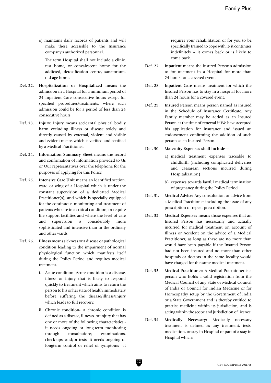e) maintains daily records of patients and will make these accessible to the Insurance company's authorized personnel.

 The term Hospital shall not include a clinic, rest home, or convalescent home for the addicted, detoxification centre, sanatorium, old age home.

- **Def. 22. Hospitalization or Hospitalized** means the admission in a Hospital for a minimum period of 24 Inpatient Care consecutive hours except for specified procedures/treatments, where such admission could be for a period of less than 24 consecutive hours.
- **Def. 23. Injury:** Injury means accidental physical bodily harm excluding illness or disease solely and directly caused by external, violent and visible and evident means which is verified and certified by a Medical Practitioner.
- **Def. 24. Information Summary Sheet** means the record and confirmation of information provided to Us or Our representatives over the telephone for the purposes of applying for this Policy.
- **Def. 25. Intensive Care Unit** means an identified section, ward or wing of a Hospital which is under the constant supervision of a dedicated Medical Practitioner(s), and which is specially equipped for the continuous monitoring and treatment of patients who are in a critical condition, or require life support facilities and where the level of care and supervision is considerably more sophisticated and intensive than in the ordinary and other wards.
- **Def. 26. Illness** means sickness or a disease or pathological condition leading to the impairment of normal physiological function which manifests itself during the Policy Period and requires medical treatment.
	- i. Acute condition- Acute condition is a disease, illness or injury that is likely to respond quickly to treatment which aims to return the person to his or her state of health immediately before suffering the disease/illness/injury which leads to full recovery.
	- ii. Chronic condition- A chronic condition is defined as a disease, illnesss, or injury that has one or more of the following characteristics: it needs ongoing or long-term monitoring through consultations, examinations, check-ups, and/or tests- it needs ongoing or longterm control or relief of symptoms –it

 requires your rehabilitation or for you to be specifically trained to cope with it- it continues indefinitely – it comes back or is likely to come back.

- **Def. 27. Inpatient** means the Insured Person's admission to for treatment in a Hospital for more than 24 hours for a covered event.
- **Def. 28. Inpatient Care** means treatment for which the Insured Person has to stay in a hospital for more than 24 hours for a covered event.
- **Def. 29. Insured Person** means person named as insured in the Schedule of Insurance Certificate. Any Family member may be added as an Insured Person at the time of renewal if We have accepted his application for insurance and issued an endorsement confirming the addition of such person as an Insured Person.

## **Def. 30. Maternity Expenses shall include—**

- a) medical treatment expenses traceable to childbirth (including complicated deliveries and caesarean sections incurred during Hospitalization)
- b) expenses towards lawful medical termination of pregnancy during the Policy Period
- **Def. 31. Medical Advice:** Any consultation or advice from a Medical Practitioner including the issue of any prescription or repeat prescription.
- **Def. 32. Medical Expenses** means those expenses that an Insured Person has necessarily and actually incurred for medical treatment on account of Illness or Accident on the advice of a Medical Practitioner, as long as these are no more than would have been payable if the Insured Person had not been insured and no more than other hospitals or doctors in the same locality would have charged for the same medical treatment.
- **Def. 33. Medical Practitioner:** A Medical Practitioner is a person who holds a valid registration from the Medical Council of any State or Medical Council of India or Council for Indian Medicine or for Homeopathy setup by the Government of India or a State Government and is thereby entitled to practice medicine within its jurisdiction; and is acting within the scope and jurisdiction of licence.
- **Def. 34. Medically Necessary:** Medically necessary treatment is defined as any treatment, tests, medication, or stay in Hospital or part of a stay in Hospital which: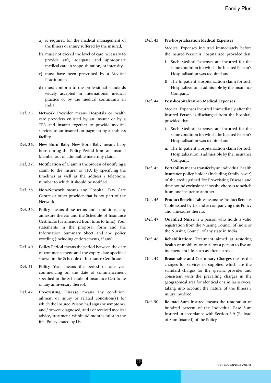- a) is required for the medical management of the Illness or injury suffered by the insured;
- b) must not exceed the level of care necessary to provide safe, adequate and appropriate medical care in scope, duration, or intensity;
- c) must have been prescribed by a Medical Practitioner;
- d) must conform to the professional standards widely accepted in international medical practice or by the medical community in India.
- **Def. 35. Network Provider** means Hospitals or health care providers enlisted by an insurer or by a TPA and insurer together to provide medical services to an insured on payment by a cashless facility.
- **Def. 36. New Born Baby** New Born Baby means baby born during the Policy Period from an Insured Member out of admissible maternity claim.
- **Def. 37. Notification of Claim** is the process of notifying a claim to the insurer or TPA by specifying the timelines as well as the address / telephone number to which it should be notified.
- **Def. 38. Non-Network** means any Hospital, Day Care Centre or other provider that is not part of the Network.
- **Def. 39. Policy** means these terms and conditions, any annexure thereto and the Schedule of Insurance Certificate (as amended from time to time), Your statements in the proposal form and the Information Summary Sheet and the policy wording (including endorsements, if any).
- **Def. 40. Policy Period** means the period between the date of commencement and the expiry date specified shown in the Schedule of Insurance Certificate.
- **Def. 41. Policy Year** means the period of one year commencing on the date of commencement specified in the Schedule of Insurance Certificate or any anniversary thereof.
- **Def. 42. Pre-existing Disease** means any condition, ailment or injury or related condition(s) for which the Insured Person had signs or symptoms, and / or were diagnosed, and / or received medical advice/ treatment, within 48 months prior to the first Policy issued by Us.

## **Def. 43. Pre-hospitalization Medical Expenses**

 Medical Expenses incurred immediately before the Insured Person is Hospitalised, provided that:

- I. Such Medical Expenses are incurred for the same condition for which the Insured Person's Hospitalisation was required and;
- II. The In-patient Hospitalization claim for such Hospitalization is admissible by the Insurance Company.

#### **Def. 44. Post-hospitalization Medical Expenses**

 Medical Expenses incurred immediately after the Insured Person is discharged from the hospital, provided that:

- i. Such Medical Expenses are incurred for the same condition for which the Insured Person's Hospitalisation was required and;
- ii. The In-patient Hospitalization claim for such Hospitalization is admissible by the Insurance Company.
- **Def. 45. Portability** means transfer by an individual health insurance policy holder (including family cover) of the credit gained for Pre-existing Disease and time bound exclusions if he/she chooses to switch from one insurer to another.
- **Def. 46. Product Benefits Table** means the Product Benefits Table issued by Us and accompanying this Policy and annexures thereto.
- **Def. 47. Qualified Nurse** is a person who holds a valid registration from the Nursing Council of India or the Nursing Council of any state in India.
- **Def. 48. Rehabilitation:** Treatment aimed at restoring health or mobility, or to allow a person to live an independent life, such as after a stroke.
- **Def. 49. Reasonable and Customary Charges** means the charges for services or supplies, which are the standard charges for the specific provider and consistent with the prevailing charges in the geographical area for identical or similar services, taking into account the nature of the Illness / injury involved.
- **Def. 50. Re-load Sum Insured** means the restoration of hundred percent of the Individual Base Sum Insured in accordance with Section 3.9 (Re-load of Sum Insured) of the Policy.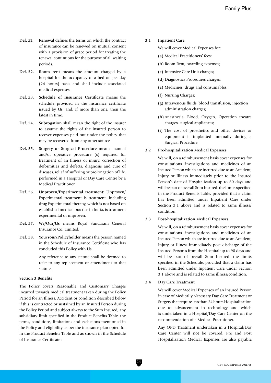- **Def. 51. Renewal** defines the terms on which the contract of insurance can be renewed on mutual consent with a provision of grace period for treating the renewal continuous for the purpose of all waiting periods.
- **Def. 52. Room rent** means the amount charged by a hospital for the occupancy of a bed on per day (24 hours) basis and shall include associated medical expenses.
- **Def. 53. Schedule of Insurance Certificate** means the schedule provided in the insurance certificate issued by Us, and, if more than one, then the latest in time.
- **Def. 54. Subrogation** shall mean the right of the insurer to assume the rights of the insured person to recover expenses paid out under the policy that may be recovered from any other source.
- **Def. 55. Surgery or Surgical Procedure** means manual and/or operative procedure (s) required for treatment of an Illness or injury, correction of deformities and defects, diagnosis and cure of diseases, relief of suffering or prolongation of life, performed in a Hospital or Day Care Centre by a Medical Practitioner.
- **Def. 56. Unproven/Experimental treatment:** Unproven/ Experimental treatment is treatment, including drug Experimental therapy, which is not based on established medical practice in India, is treatment experimental or unproven.
- **Def. 57. We/Our/Us** means Royal Sundaram General Insurance Co. Limited.
- **Def. 58. You/Your/Policyholder** means the person named in the Schedule of Insurance Certificate who has concluded this Policy with Us.

 Any reference to any statute shall be deemed to refer to any replacement or amendment to that statute.

#### **Section 3 Benefits**

The Policy covers Reasonable and Customary Charges incurred towards medical treatment taken during the Policy Period for an Illness, Accident or condition described below if this is contracted or sustained by an Insured Person during the Policy Period and subject always to the Sum Insured, any subsidiary limit specified in the Product Benefits Table, the terms, conditions, limitations and exclusions mentioned in the Policy and eligibility as per the insurance plan opted for in the Product Benefits Table and as shown in the Schedule of Insurance Certificate :

#### **3.1 Inpatient Care**

We will cover Medical Expenses for:

- (a) Medical Practitioners' fees;
- (b) Room Rent, boarding expenses;
- (c) Intensive Care Unit charges;
- (d) Diagnostics Procedures charges;
- (e) Medicines, drugs and consumables;
- (f) Nursing Charges;
- (g) Intravenous fluids, blood transfusion, injection administration charges;
- (h) Anesthesia, Blood, Oxygen, Operation theatre charges, surgical appliances;
- (i) The cost of prosthetics and other devices or equipment if implanted internally during a Surgical Procedure.

#### **3.2 Pre-hospitalization Medical Expenses**

 We will, on a reimbursement basis cover expenses for consultations, investigations and medicines of an Insured Person which are incurred due to an Accident, Injury or Illness immediately prior to the Insured Person's date of Hospitalization up to 60 days and will be part of overall Sum Insured. the limits specified in the Product Benefits Table, provided that a claim has been admitted under Inpatient Care under Section 3.1 above and is related to same illness/ condition.

#### **3.3 Post-hospitalization Medical Expenses**

 We will, on a reimbursement basis cover expenses for consultations, investigations and medicines of an Insured Person which are incurred due to an Accident, Injury or Illness immediately post discharge of the Insured Person's from the Hospital up to 90 days and will be part of overall Sum Insured. the limits specified in the Schedule, provided that a claim has been admitted under Inpatient Care under Section 3.1 above and is related to same illness/condition.

## **3.4 Day Care Treatment**

 We will cover Medical Expenses of an Insured Person in case of Medically Necessary Day Care Treatment or Surgery that require less than 24 hours Hospitalization due to advancement in technology and which is undertaken in a Hospital/Day Care Center on the recommendation of a Medical Practitioner.

 Any OPD Treatment undertaken in a Hospital/Day Care Center will not be covered. Pre and Post Hospitalization Medical Expenses are also payable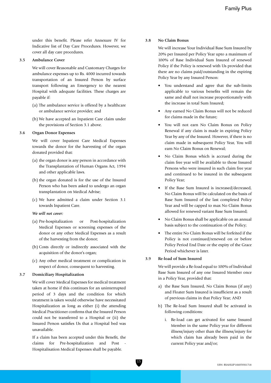under this benefit. Please refer Annexure IV for Indicative list of Day Care Procedures. However, we cover all day care procedures.

#### **3.5 Ambulance Cover**

 We will cover Reasonable and Customary Charges for ambulance expenses up to Rs. 4000 incurred towards transportation of an Insured Person by surface transport following an Emergency to the nearest Hospital with adequate facilities. These charges are payable if:

- (a) The ambulance service is offered by a healthcare or ambulance service provider; and
- (b) We have accepted an Inpatient Care claim under the provisions of Section 3.1 above.

#### **3.6 Organ Donor Expenses**

 We will cover Inpatient Care Medical Expenses towards the donor for the harvesting of the organ donated provided that:

- (a) the organ donor is any person in accordance with the Transplantation of Human Organs Act, 1994 and other applicable laws.
- (b) the organ donated is for the use of the Insured Person who has been asked to undergo an organ transplantation on Medical Advise;
- (c) We have admitted a claim under Section 3.1 towards Inpatient Care.

#### *We will not cover:*

- (a) Pre-hospitalization or Post-hospitalization Medical Expenses or screening expenses of the donor or any other Medical Expenses as a result of the harvesting from the donor;
- (b) Costs directly or indirectly associated with the acquisition of the donor's organ;
- (c) Any other medical treatment or complication in respect of donor, consequent to harvesting.

#### **3.7 Domiciliary Hospitalization**

 We will cover Medical Expenses for medical treatment taken at home if this continues for an uninterrupted period of 3 days and the condition for which treatment is taken would otherwise have necessitated Hospitalization as long as either (i) the attending Medical Practitioner confirms that the Insured Person could not be transferred to a Hospital or (ii) the Insured Person satisfies Us that a Hospital bed was unavailable.

 If a claim has been accepted under this Benefit, the claims for Pre-hospitalization and Post Hospitalisation Medical Expenses shall be payable.

#### **3.8 No Claim Bonus**

 We will increase Your Individual Base Sum Insured by 20% per Insured per Policy Year upto a maximum of 100% of Base Individual Sum Insured of renewed Policy if the Policy is renewed with Us provided that there are no claims paid/outstanding in the expiring Policy Year by any Insured Person:

- You understand and agree that the sub-limits applicable to various benefits will remain the same and shall not increase proportionately with the increase in total Sum Insured;
- Any earned No Claim Bonus will not be reduced for claims made in the future;
- You will not earn No Claim Bonus on Policy Renewal if any claim is made in expiring Policy Year by any of the Insured. However, if there is no claim made in subsequent Policy Year, You will earn No Claim Bonus on Renewal;
- No Claim Bonus which is accrued during the claim free year will be available to those Insured Persons who were insured in such claim free year and continued to be insured in the subsequent Policy Year;
- If the Base Sum Insured is increased/decreased, No Claim Bonus will be calculated on the basis of Base Sum Insured of the last completed Policy Year and will be capped to max No Claim Bonus allowed for renewed variant Base Sum Insured;
- No Claim Bonus shall be applicable on an annual basis subject to the continuation of the Policy;
- The entire No Claim Bonus will be forfeited if the Policy is not continued/renewed on or before Policy Period End Date or the expiry of the Grace Period whichever is later.

## **3.9 Re-load of Sum Insured**

 We will provide a Re-load equal to 100% of Individual Base Sum Insured of any one Insured Member once in a Policy Year, provided that:

- a) the Base Sum Insured, No Claim Bonus (if any) and Floater Sum Insured is insufficient as a result of previous claims in that Policy Year; AND
- b) The Re-load Sum Insured shall be activated in following conditions:
	- i. Re-load can get activated for same Insured Member in the same Policy year for different illness/injury other than the illness/injury for which claim has already been paid in the current Policy year and/or;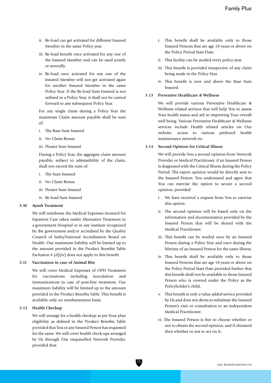- ii. Re-load can get activated for different Insured Member in the same Policy year.
- iii. Re-load benefit once activated for any one of the Insured Member and can be used jointly or severally.
- iv. Re-load once activated for any one of the Insured Member will not get activated again for another Insured Member in the same Policy Year. If the Re-load Sum Insured is not utilised in a Policy Year, it shall not be carried forward to any subsequent Policy Year.

 For any single claim during a Policy Year the maximum Claim amount payable shall be sum of:

- i. The Base Sum Insured
- ii. No Claim Bonus
- iii. Floater Sum Insured

 During a Policy Year, the aggregate claim amount payable, subject to admissibility of the claim, shall not exceed the sum of:

- i. The Sum Insured
- ii. No Claim Bonus
- iii. Floater Sum Insured
- iv. Re-load Sum Insured

#### **3.10 Ayush Treatment**

 We will reimburse the Medical Expenses incurred for Inpatient Care taken under Alternative Treatment in a government Hospital or in any institute recognized by the government and/or accredited by the Quality Council of India/National Accreditation Board on Health. Our maximum liability will be limited up to the amount provided in the Product Benefits Table Exclusion 4 (d)(iv) does not apply to this benefit

#### **3.11 Vaccination in case of Animal Bite**

 We will cover Medical Expenses of OPD Treatment for vaccinations including inoculation and immunizations in case of post-bite treatment. Our maximum liability will be limited up to the amount provided in the Product Benefits Table. This benefit is available only on reimbursement basis.

#### **3.12 Health Checkup**

 We will arrange for a health checkup as per Your plan eligibility as defined in the Product Benefits Table provided that You or any Insured Person has requested for the same. We will cover health check-ups arranged by Us through Our empanelled Network Provider, provided that:

- i. This benefit shall be available only to those Insured Persons that are age 18 years or above on the Policy Period Start Date;
- ii. This facility can be availed every policy year.
- iii. This benefit is provided irrespective of any claim being made in the Policy Year.
- iv. This benefit is over and above the Base Sum Insured.

#### **3.13 Preventive Healthcare & Wellness**

 We will provide various Preventive Healthcare & Wellness related services that will help You to assess Your health status and aid in improving Your overall well being. Various Preventive Healthcare & Wellness services include Health related articles on Our website, access to various preferred health maintenance network etc.

## **3.14 Second Opinion for Critical Illness**

 We will provide You a second opinion from Network Provider or Medical Practitioner, if an Insured Person is diagnosed with the Critical Illness during the Policy Period. The expert opinion would be directly sent to the Insured Person. You understand and agree that You can exercise the option to secure a second opinion, provided:

- i. We have received a request from You to exercise this option;
- ii. The second opinion will be based only on the information and documentation provided by the Insured Person that will be shared with the Medical Practitioner;
- iii. This benefit can be availed once by an Insured Person during a Policy Year and once during the lifetime of an Insured Person for the same illness;
- iv. This benefit shall be available only to those Insured Persons that are age 18 years or above on the Policy Period Start Date provided further that this benefit shall not be available to those Insured Person who is covered under the Policy as the Policyholder's child;
- v. This benefit is only a value added service provided by Us and does not deem to substitute the Insured Person's visit or consultation to an independent Medical Practitioner;
- vi. The Insured Person is free to choose whether or not to obtain the second opinion, and if obtained then whether or not to act on it;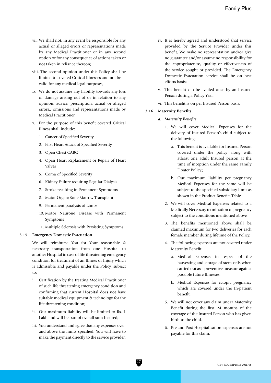- vii. We shall not, in any event be responsible for any actual or alleged errors or representations made by any Medical Practitioner or in any second option or for any consequence of actions taken or not taken in reliance thereon;
- viii. The second opinion under this Policy shall be limited to covered Critical Illnesses and not be valid for any medical legal purposes;
- ix. We do not assume any liability towards any loss or damage arising out of or in relation to any opinion, advice, prescription, actual or alleged errors,, omissions and representations made by Medical Practitioner;
- x. For the purpose of this benefit covered Critical Illness shall include:
	- 1. Cancer of Specified Severity
	- 2. First Heart Attack of Specified Severity
	- 3. Open Chest CABG
	- 4. Open Heart Replacement or Repair of Heart Valves
	- 5. Coma of Specified Severity
	- 6. Kidney Failure requiring Regular Dialysis
	- 7. Stroke resulting in Permanent Symptoms
	- 8. Major Organ/Bone Marrow Transplant
	- 9. Permanent paralysis of Limbs
	- 10. Motor Neurone Disease with Permanent Symptoms
	- 11. Multiple Sclerosis with Persisting Symptoms

#### **3.15 Emergency Domestic Evacuation**

 We will reimburse You for Your reasonable & necessary transportation from one Hospital to another Hospital in case of life threatening emergency condition for treatment of an Illness or Injury which is admissible and payable under the Policy, subject to:

- i. Certification by the treating Medical Practitioner of such life threatening emergency condition and confirming that current Hospital does not have suitable medical equipment & technology for the life threatening condition;
- ii. Our maximum liability will be limited to Rs. 1 Lakh and will be part of overall sum Insured;
- iii. You understand and agree that any expenses over and above the limits specified, You will have to make the payment directly to the service provider;
- iv. It is hereby agreed and understood that service provided by the Service Provider under this benefit, We make no representation and/or give no guarantee and/or assume no responsibility for the appropriateness, quality or effectiveness of the service sought or provided. The Emergency Domestic Evacuation service shall be on best efforts basis;
- v. This benefit can be availed once by an Insured Person during a Policy Year.
- vi. This benefit is on per Insured Person basis.

## **3.16 Maternity Benefits**

- *a. Maternity Benefits*
	- 1. We will cover Medical Expenses for the delivery of Insured Person's child subject to the following:
		- a. This benefit is available for Insured Person covered under the policy along with atleast one adult Insured person at the time of inception under the same Family Floater Policy.;
		- b. Our maximum liability per pregnancy Medical Expenses for the same will be subject to the specified subsidiary limit as shown in the Product Benefits Table.
	- 2. We will cover Medical Expenses related to a Medically Necessary termination of pregnancy subject to the conditions mentioned above.
	- 3. The benefits mentioned above shall be claimed maximum for two deliveries for each female member during lifetime of the Policy.
	- 4. The following expenses are not covered under Maternity Benefit:
		- a. Medical Expenses in respect of the harvesting and storage of stem cells when carried out as a preventive measure against possible future Illnesses;
		- b. Medical Expenses for ectopic pregnancy which are covered under the In-patient benefit.
	- 5. We will not cover any claim under Maternity Benefit during the first 24 months of the coverage of the Insured Person who has given birth to the child.
	- 6. Pre and Post Hospitalisation expenses are not payable for this claim.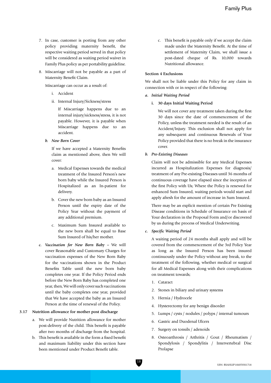- 7. In case, customer is porting from any other policy providing maternity benefit, the respective waiting period served in that policy will be considered as waiting period waiver in Family Plus policy as per portability guideline.
- 8. Miscarriage will not be payable as a part of Maternity Benefit Claim.

Miscarriage can occur as a result of:

- i. Accident
- ii. Internal Injury/Sickness/stress

 If Miscarriage happens due to an internal injury/sickness/stress, it is not payable. However, it is payable when Miscarriage happens due to an accident.

*b. New Born Cover*

 If we have accepted a Maternity Benefits claim as mentioned above, then We will cover:

- a. Medical Expenses towards the medical treatment of the Insured Person's new born baby while the Insured Person is Hospitalized as an In-patient for delivery.
- b. Cover the new born baby as an Insured Person until the expiry date of the Policy Year without the payment of any additional premium.
- c. Maximum Sum Insured available to the new born shall be equal to Base Sum Insured of his/her mother.
- *c. Vaccination for New Born Baby –* We will cover Reasonable and Customary Charges for vaccination expenses of the New Born Baby for the vaccinations shown in the Product Benefits Table until the new born baby completes one year. If the Policy Period ends before the New Born Baby has completed one year, then, We will only cover such vaccinations until the baby completes one year, provided that We have accepted the baby as an Insured Person at the time of renewal of the Policy.

## **3.17 Nutrition allowance for mother post discharge**

- a. We will provide Nutrition allowance for mother post-delivery of the child. This benefit is payable after two months of discharge from the hospital.
- b. This benefit is available in the form a fixed benefit and maximum liability under this section have been mentioned under Product Benefit table.

 c. This benefit is payable only if we accept the claim made under the Maternity Benefit. At the time of settlement of Maternity Claim, we shall issue a post-dated cheque of Rs. 10,000 towards Nutritional allowance.

#### **Section 4 Exclusions**

We shall not be liable under this Policy for any claim in connection with or in respect of the following:

#### *a. Initial Waiting Period*

#### **i. 30 days Initial Waiting Period**

 We will not cover any treatment taken during the first 30 days since the date of commencement of the Policy, unless the treatment needed is the result of an Accident/Injury. This exclusion shall not apply for any subsequent and continuous Renewals of Your Policy provided that there is no break in the insurance cover.

#### *b. Pre-Existing Diseases*

Claim will not be admissible for any Medical Expenses incurred as Hospitalization Expenses for diagnosis/ treatment of any Pre-existing Diseases until 36 months of continuous coverage have elapsed since the inception of the first Policy with Us; Where the Policy is renewed for enhanced Sum Insured, waiting periods would start and apply afresh for the amount of increase in Sum Insured.

There may be an explicit mention of certain Pre Existing Disease conditions in Schedule of Insurance on basis of Your declaration in the Proposal Form and/or discovered by us during the process of Medical Underwriting.

*c. Specific Waiting Period*

A waiting period of 24 months shall apply and will be covered from the commencement of the 3rd Policy Year as long as the Insured Person has been insured continuously under the Policy without any break, to the treatment of the following, whether medical or surgical for all Medical Expenses along with their complications on treatment towards;

- 1. Cataract
- 2. Stones in biliary and urinary systems
- 3. Hernia / Hydrocele
- 4. Hysterectomy for any benign disorder
- 5. Lumps / cysts / nodules / polyps / internal tumours
- 6. Gastric and Duodenal Ulcers
- 7. Surgery on tonsils / adenoids
- 8. Osteoarthrosis / Arthritis / Gout / Rheumatism / Spondylosis / Spondylitis / Intervertebral Disc Prolapse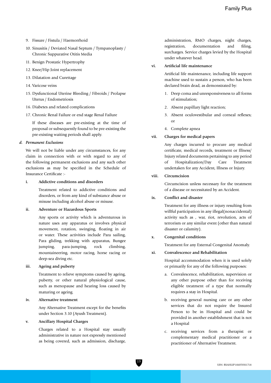- 9. Fissure / Fistula / Haemorrhoid
- 10. Sinusitis / Deviated Nasal Septum / Tympanoplasty / Chronic Suppurative Otitis Media
- 11. Benign Prostatic Hypertrophy
- 12. Knee/Hip Joint replacement
- 13. Dilatation and Curettage
- 14. Varicose veins
- 15. Dysfunctional Uterine Bleeding / Fibroids / Prolapse Uterus / Endometriosis
- 16. Diabetes and related complications
- 17. Chronic Renal Failure or end stage Renal Failure

 If these diseases are pre-existing at the time of proposal or subsequently found to be pre-existing the pre-existing waiting periods shall apply.

### *d. Permanent Exclusions*

We will not be liable under any circumstances, for any claim in connection with or with regard to any of the following permanent exclusions and any such other exclusions as may be specified in the Schedule of Insurance Certificate :-

#### **i. Addictive conditions and disorders**

 Treatment related to addictive conditions and disorders, or from any kind of substance abuse or misuse including alcohol abuse or misuse.

#### **ii. Adventure or Hazardous Sports**

 Any sports or activity which is adventurous in nature uses any apparatus or involves physical movement, rotation, swinging, floating in air or water. These activities include Para sailing, Para gliding, trekking with apparatus, Bungee jumping, para-jumping, rock climbing, mountaineering, motor racing, horse racing or deep-sea diving etc.

## **iii. Ageing and puberty**

Treatment to relieve symptoms caused by ageing, puberty, or other natural physiological cause, such as menopause and hearing loss caused by maturing or ageing.

#### **iv. Alternative treatment**

 Any Alternative Treatment except for the benefits under Section 3.10 (Ayush Treatment).

## **v. Ancillary Hospital Charges**

 Charges related to a Hospital stay usually administrative in nature not expressly mentioned as being covered, such as admission, discharge,  administration, RMO charges, night charges, registration, documentation and filing, surcharges. Service charges levied by the Hospital under whatever head.

## **vi. Artificial life maintenance**

 Artificial life maintenance, including life support machine used to sustain a person, who has been declared brain dead, as demonstrated by:

- 1. Deep coma and unresponsiveness to all forms of stimulation;
- 2. Absent pupillary light reaction;
- 3. Absent oculovestibular and corneal reflexes; or
	- 4. Complete apnea

#### **vii. Charges for medical papers**

 Any charges incurred to procure any medical certificate, medical records, treatment or Illness/ Injury related documents pertaining to any period of Hospitalization/Day Care Treatment undertaken for any Accident, Illness or Injury.

### **viii. Circumcision**

 Circumcision unless necessary for the treatment of a disease or necessitated by an Accident.

#### **ix. Conflict and disaster**

 Treatment for any illness or injury resulting from willful participation in any illegal(nonaccidental) activity such as , war, riot, revolution, acts of terrorism or any similar event (other than natural disaster or calamity).

#### **x. Congenital conditions**

Treatment for any External Congenital Anomaly.

#### **xi. Convalescence and Rehabilitation**

 Hospital accommodation when it is used solely or primarily for any of the following purposes:

- a. Convalescence, rehabilitation, supervision or any other purpose other than for receiving eligible treatment of a type that normally requires a stay in Hospital.
- b. receiving general nursing care or any other services that do not require the Insured Person to be in Hospital and could be provided in another establishment that is not a Hospital
- c. receiving services from a therapist or complementary medical practitioner or a practitioner of Alternative Treatment.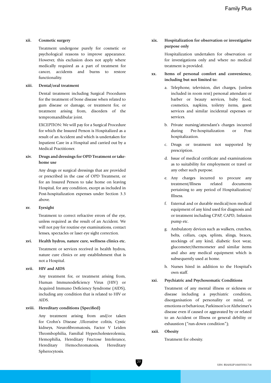#### **xii. Cosmetic surgery**

 Treatment undergone purely for cosmetic or psychological reasons to improve appearance. However, this exclusion does not apply where medically required as a part of treatment for cancer, accidents and burns to restore functionality.

#### **xiii. Dental/oral treatment**

 Dental treatment including Surgical Procedures for the treatment of bone disease when related to gum disease or damage, or treatment for, or treatment arising from, disorders of the tempromandibular joint.

 EXCEPTION: We will pay for a Surgical Procedure for which the Insured Person is Hospitalized as a result of an Accident and which is undertaken for Inpatient Care in a Hospital and carried out by a Medical Practitioner.

## **xiv. Drugs and dressings for OPD Treatment or take home use**

 Any drugs or surgical dressings that are provided or prescribed in the case of OPD Treatment, or for an Insured Person to take home on leaving Hospital, for any condition, except as included in Post-hospitalization expenses under Section 3.3 above.

#### **xv. Eyesight**

 Treatment to correct refractive errors of the eye, unless required as the result of an Accident. We will not pay for routine eye examinations, contact lenses, spectacles or laser eye sight correction.

#### **xvi. Health hydros, nature cure, wellness clinics etc.**

 Treatment or services received in health hydros, nature cure clinics or any establishment that is not a Hospital.

## **xvii. HIV and AIDS**

 Any treatment for, or treatment arising from, Human Immunodeficiency Virus (HIV) or Acquired Immuno Deficiency Syndrome (AIDS), including any condition that is related to HIV or AIDS.

#### **xviii. Hereditary conditions (Specified)**

 Any treatment arising from and/or taken for Crohn's Disease ,Ulcerative colitis, Cystic kidneys, Neurofibromatosis, Factor V Leiden Thrombophilia, Familial Hypercholesterolemia, Hemophilia, Hereditary Fructose Intolerance, Hereditary Hemochromatosis, Hereditary Spherocytosis.

## **xix. Hospitalization for observation or investigative purpose only**

 Hospitalization undertaken for observation or for investigations only and where no medical treatment is provided.

- **xx. Items of personal comfort and convenience, including but not limited to:**
	- a. Telephone, television, diet charges, (unless included in room rent) personal attendant or barber or beauty services, baby food, cosmetics, napkins, toiletry items, guest services and similar incidental expenses or services.
	- b. Private nursing/attendant's charges incurred during Pre-hospitalization or Post hospitalization.
	- c. Drugs or treatment not supported by prescription.
	- d. Issue of medical certificate and examinations as to suitability for employment or travel or any other such purpose.
	- e. Any charges incurred to procure any treatment/Illness related documents pertaining to any period of Hospitalization/ Illness.
	- f. External and or durable medical/non medical equipment of any kind used for diagnosis and or treatment including CPAP, CAPD, Infusion pump etc.
	- g. Ambulatory devices such as walkers, crutches, belts, collars, caps, splints, slings, braces, stockings of any kind, diabetic foot wear, glucometer/thermometer and similar items and also any medical equipment which is subsequently used at home.
	- h. Nurses hired in addition to the Hospital's own staff.

#### **xxi. Psychiatric and Psychosomatic Conditions**

 Treatment of any mental illness or sickness or disease including a psychiatric condition, disorganisation of personality or mind, or emotions or behaviour, Parkinson's or Alzheimer's disease even if caused or aggravated by or related to an Accident or Illness or general debility or exhaustion ("run-down condition");

**xxii. Obesity**

Treatment for obesity.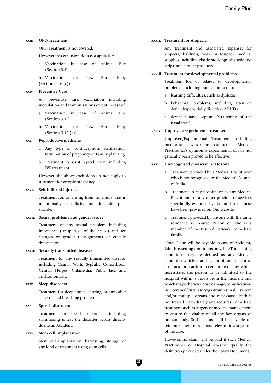#### **xxiii. OPD Treatment**

OPD Treatment is not covered.

However this exclusion does not apply for:

 a. Vaccination in case of Animal Bite (Section 3.11)

 b. Vaccination for New Born Baby (Section 3.16 (c))

#### **xxiv. Preventive Care**

 All preventive care, vaccination including inoculation and immunisations except in case of

- a. Vaccination in case of Animal Bite (Section 3.11)
- b. Vaccination for New Born Baby (Section 3.16 (c))

#### **xxv. Reproductive medicine**

- a. Any type of contraception, sterilization, termination of pregnancy or Family planning.
- b. Treatment to assist reproduction, including IVF treatment.

 However, the above exclusions do not apply to treatment for ectopic pregnancy.

#### **xxvi. Self-inflicted injuries**

 Treatment for, or arising from, an injury that is intentionally self-inflicted, including attempted suicide.

#### **xxvii. Sexual problems and gender issues**

 Treatment of any sexual problem including impotence (irrespective of the cause) and sex changes or gender reassignments or erectile dysfunction.

#### **xxviii. Sexually transmitted diseases**

 Treatment for any sexually transmitted disease, including Genital Warts, Syphilis, Gonorrhoea, Genital Herpes, Chlamydia, Pubic Lice and Trichomoniasis.

#### **xxix. Sleep disorders**

 Treatment for sleep apnea, snoring, or any other sleep-related breathing problem.

#### **xxx. Speech disorders**

 Treatment for speech disorders, including stammering unless the disorder occurs directly due to an Accident.

#### **xxxi. Stem cell implantation**

 Stem cell implantation, harvesting, storage, or any kind of treatment using stem cells.

#### **xxxii. Treatment for Alopecia**

 Any treatment and associated expenses for alopecia, baldness, wigs, or toupees, medical supplies including elastic stockings, diabetic test strips, and similar products.

#### **xxxiii. Treatment for developmental problems**

 Treatment for, or related to developmental problems, including but not limited to:

- a. learning difficulties, such as dyslexia;
- b. behavioral problems, including attention deficit hyperactivity disorder (ADHD);
- c. deviated nasal septum (straitening of the nasal tract).

#### **xxxiv. Unproven/Experimental treatment**

 Unproven/Experimental Treatment, including medication, which in competent Medical Practitioner's opinion is experimental or has not generally been proved to be effective.

#### **xxxv. Unrecognised physician or Hospital:**

- a. Treatment provided by a Medical Practitioner who is not recognized by the Medical Council of India.
- b. Treatment in any hospital or by any Medical Practitioner or any other provider of services specifically excluded by Us and list of these have been provided on Our website.
- c. Treatment provided by anyone with the same residence as Insured Person or who is a member of the Insured Person's immediate family.

 Note: Claim will be payable in case of Accident/ Life Threatening conditions only. Life Threatening conditions may be defined as any Medical condition which is arising out of an accident or an illness or reaction to certain medicines which necessitates the person to be admitted to the hospital within 8 hours from the incident and which may otherwise pose damage/complications in cerebral/circulatory/gastrointestinal system and/or multiple organs and may cause death if not treated immediately and requires immediate treatment such as surgery or medical management to ensure the vitality of all the key organs of human body. Such claims shall be payable on reimbursement mode post relevant investigation of the case.

 However, no claim will be paid if such Medical Practitioner or Hospital doesnot qualify the definition provided under the Policy Document.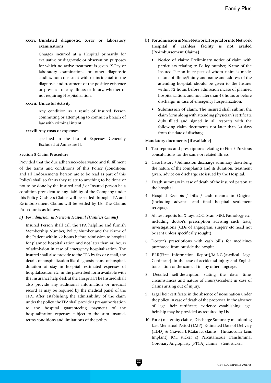## **xxxvi. Unrelated diagnostic, X-ray or laboratory examinations**

 Charges incurred at a Hospital primarily for evaluative or diagnostic or observation purposes for which no active treatment is given, X-Ray or laboratory examinations or other diagnostic studies, not consistent with or incidental to the diagnosis and treatment of the positive existence or presence of any Illness or Injury, whether or not requiring Hospitalization.

#### **xxxvii. Unlawful Activity**

 Any condition as a result of Insured Person committing or attempting to commit a breach of law with criminal intent.

#### **xxxviii.Any costs or expenses**

 specified in the List of Expenses Generally Excluded at Annexure II.

#### **Section 5 Claim Procedure**

Provided that the due adherence/observance and fulfillment of the terms and conditions of this Policy (conditions and all Endorsements hereon are to be read as part of this Policy) shall so far as they relate to anything to be done or not to be done by the Insured and / or Insured person be a condition precedent to any liability of the Company under this Policy. Cashless Claims will be settled through TPA and Re-imbursement Claims will be settled by Us. The Claims Procedure is as follows:

#### *a) For admission in Network Hospital (Cashless Claims)*

Insured Person shall call the TPA helpline and furnish Membership Number, Policy Number and the Name of the Patient within 72 hours before admission to hospital for planned hospitalization and not later than 48 hours of admission in case of emergency hospitalization. The insured shall also provide to the TPA by fax or e-mail, the details of hospitalization like diagnosis, name of hospital, duration of stay in hospital, estimated expenses of hospitalization etc. in the prescribed form available with the Insurance help desk at the Hospital. The Insured shall also provide any additional information or medical record as may be required by the medical panel of the TPA. After establishing the admissibility of the claim under the policy, the TPA shall provide a pre-authorisation to the hospital guaranteeing payment of the hospitalization expenses subject to the sum insured, terms conditions and limitations of the policy.

- **b) For admission in Non-Network Hospital or into Network Hospital if cashless facility is not availed (Re-imbursement Claims)**
	- **Notice of claim:** Preliminary notice of claim with particulars relating to Policy number, Name of the Insured Person in respect of whom claim is made, nature of illness/injury and name and address of the attending hospital, should be given to the Insurer within 72 hours before admission incase of planned hospitalization, and not later than 48 hours or before discharge, in case of emergency hospitalization.
	- **Submission of claim:** The insured shall submit the claim form along with attending physician's certificate duly filled and signed in all respects with the following claim documents not later than 30 days from the date of discharge.

#### **Mandatory documents (if available)**

- 1. Test reports and prescriptions relating to First / Previous consultations for the same or related illness.
- 2. Case history / Admission-discharge summary describing the nature of the complaints and its duration, treatment given, advice on discharge etc issued by the Hospital.
- 3. Death summary in case of death of the insured person at the hospital.
- 4. Hospital Receipts / bills / cash memos in Original (including advance and final hospital settlement receipts).
- 5. All test reports for X-rays, ECG, Scan, MRI, Pathology etc., including doctor's prescription advising such tests/ investigations (CDs of angiogram, surgery etc need not be sent unless specifically sought).
- 6. Doctor's prescriptions with cash bills for medicines purchased from outside the hospital.
- 7. F.I.R(First Information Report)/M.L.C.(Medical Legal Certificate). in the case of accidental injury and English translation of the same, if in any other language.
- 8. Detailed self-description stating the date, time, circumstances and nature of injury/accident in case of claims arising out of injury.
- 9. Legal heir certificate in the absence of nomination under the policy, in case of death of the proposer. In the absence of legal heir certificate, evidence establishing legal heirship may be provided as required by Us.
- 10. For a) maternity claims, Discharge Summary mentioning Last Menstrual Period (LMP), Estimated Date of Delivery (EDD) & Gravida b)Cataract claims - (Intraocular Lens Implant) IOL sticker c) Percutaneous Transluminal Coronary Angioplasty (PTCA) claims - Stent sticker.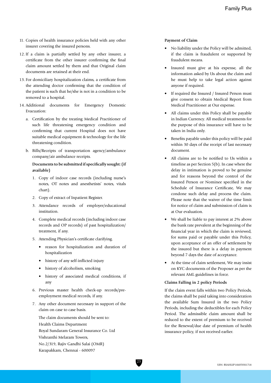- 11. Copies of health insurance policies held with any other insurer covering the insured persons.
- 12. If a claim is partially settled by any other insurer, a certificate from the other insurer confirming the final claim amount settled by them and that Original claim documents are retained at their end.
- 13. For domiciliary hospitalization claims, a certificate from the attending doctor confirming that the condition of the patient is such that he/she is not in a condition to be removed to a hospital.
- 14. Additional documents for Emergency Domestic Evacuation:
	- a. Certification by the treating Medical Practitioner of such life threatening emergency condition and confirming that current Hospital does not have suitable medical equipment & technology for the life threatening condition.
	- b. Bills/Receipts of transportation agency/ambulance company/air ambulance receipts.

## **Documents to be submitted if specifically sought: (if available)**

- 1. Copy of indoor case records (including nurse's notes, OT notes and anesthetists' notes, vitals chart).
- 2. Copy of extract of Inpatient Register.
- 3. Attendance records of employer/educational institution.
- 4. Complete medical records (including indoor case records and OP records) of past hospitalization/ treatment, if any.
- 5. Attending Physician's certificate clarifying.
	- reason for hospitalization and duration of hospitalization
	- history of any self-inflicted injury
	- history of alcoholism, smoking
	- history of associated medical conditions, if any
- 6. Previous master health check-up records/pre employment medical records, if any.
- 7. Any other document necessary in support of the claim on case to case basis.

 The claim documents should be sent to: Health Claims Department Royal Sundaram General Insurance Co. Ltd Vishranthi Melaram Towers, No.2/319, Rajiv Gandhi Salai (OMR) Karapakkam, Chennai - 600097

#### **Payment of Claim**

- No liability under the Policy will be admitted, if the claim is fraudulent or supported by fraudulent means.
- Insured must give at his expense, all the information asked by Us about the claim and he must help to take legal action against anyone if required.
- If required the Insured / Insured Person must give consent to obtain Medical Report from Medical Practitioner at Our expense.
- All claims under this Policy shall be payable in Indian Currency. All medical treatments for the purpose of this insurance will have to be taken in India only.
- Benefits payable under this policy will be paid within 30 days of the receipt of last necessary document.
- All claims are to be notified to Us within a timeline as per Section 5(b). In case where the delay in intimation is proved to be genuine and for reasons beyond the control of the Insured Person or Nominee specified in the Schedule of Insurance Certificate, We may condone such delay and process the claim. Please note that the waiver of the time limit for notice of claim and submission of claim is at Our evaluation.
- We shall be liable to pay interest at 2% above the bank rate prevalent at the beginning of the financial year in which the claim is reviewed, for sums paid or payable under this Policy, upon acceptance of an offer of settlement by the insured but there is a delay in payment beyond 7 days the date of acceptance.
- At the time of claim settlement, We may insist on KYC documents of the Proposer as per the relevant AML guidelines in force.

## **Claims Falling in 2 policy Periods**

 If the claim event falls within two Policy Periods, the claims shall be paid taking into consideration the available Sum Insured in the two Policy Periods, including the deductibles for each Policy Period. The admissible claim amount shall be reduced to the extent of premium to be received for the Renewal/due date of premium of health insurance policy, if not received earlier.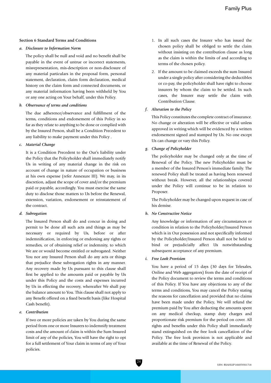#### **Section 6 Standard Terms and Conditions**

#### *a. Disclosure to Information Norm*

The policy shall be null and void and no benefit shall be payable in the event of untrue or incorrect statements, misrepresentation, mis-description or non-disclosure of any material particulars in the proposal form, personal statement, declaration, claim form declaration, medical history on the claim form and connected documents, or any material information having been withheld by You or any one acting on Your behalf, under this Policy.

#### *b. Observance of terms and conditions*

The due adherence/observance and fulfillment of the terms, conditions and endorsement of this Policy in so far as they relate to anything to be done or complied with by the Insured Person, shall be a Condition Precedent to any liability to make payment under this Policy .

#### *c. Material Change*

It is a Condition Precedent to the Our's liability under the Policy that the Policyholder shall immediately notify Us in writing of any material change in the risk on account of change in nature of occupation or business at his own expense (refer Annexure III). We may, in its discretion, adjust the scope of cover and/or the premium paid or payable, accordingly. You must exercise the same duty to disclose those matters to Us before the Renewal, extension, variation, endorsement or reinstatement of the contract.

#### *d. Subrogation*

The Insured Person shall do and concur in doing and permit to be done all such acts and things as may be necessary or required by Us, before or after indemnification, in enforcing or endorsing any rights or remedies, or of obtaining relief or indemnity, to which We are or would become entitled or subrogated. Neither You nor any Insured Person shall do any acts or things that prejudice these subrogation rights in any manner. Any recovery made by Us pursuant to this clause shall first be applied to the amounts paid or payable by Us under this Policy and the costs and expenses incurred by Us in effecting the recovery, whereafter We shall pay the balance amount to You. This clause shall not apply to any Benefit offered on a fixed benefit basis (like Hospital Cash benefit).

#### *e. Contribution*

If two or more policies are taken by You during the same period from one or more Insurers to indemnify treatment costs and the amount of claim is within the Sum Insured limit of any of the policies, You will have the right to opt for a full settlement of Your claim in terms of any of Your policies.

- 1. In all such cases the Insurer who has issued the chosen policy shall be obliged to settle the claim without insisting on the contribution clause as long as the claim is within the limits of and according to terms of the chosen policy.
- 2. If the amount to be claimed exceeds the sum Insured under a single policy after considering the deductibles or co-pay, the policyholder shall have right to choose insurers by whom the claim to be settled. In such cases, the Insurer may settle the claim with Contribution Clause.

#### *f. Alteration to the Policy*

This Policy constitutes the complete contract of insurance. No change or alteration will be effective or valid unless approved in writing which will be evidenced by a written endorsement signed and stamped by Us. No one except Us can change or vary this Policy.

## *g. Change of Policyholder*

The policyholder may be changed only at the time of Renewal of the Policy. The new Policyholder must be a member of the Insured Person's immediate family. The renewed Policy shall be treated as having been renewed without break. However, all the relationships covered under the Policy will continue to be in relation to Proposer.

The Policyholder may be changed upon request in case of his demise.

#### *h. No Constructive Notice*

Any knowledge or information of any circumstances or condition in relation to the Policyholder/Insured Person which is in Our possession and not specifically informed by the Policyholder/Insured Person shall not be held to bind or prejudicially affect Us notwithstanding subsequent acceptance of any premium.

#### *i. Free Look Provision*

You have a period of 15 days (30 days for Telesales, Online and Web aggregators) from the date of receipt of the Policy document to review the terms and conditions of this Policy. If You have any objections to any of the terms and conditions, You may cancel the Policy stating the reasons for cancellation and provided that no claims have been made under the Policy, We will refund the premium paid by You after deducting the amounts spent on any medical checkup, stamp duty charges and proportionate risk premium for the period on cover. All rights and benefits under this Policy shall immediately stand extinguished on the free look cancellation of the Policy. The free look provision is not applicable and available at the time of Renewal of the Policy.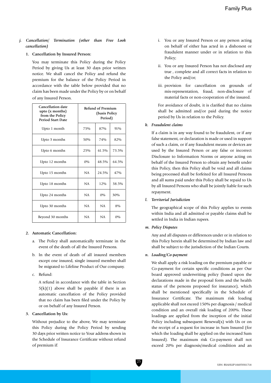*j. Cancellation/ Termination (other than Free Look cancellation)*

#### **1. Cancellation by Insured Person:**

 You may terminate this Policy during the Policy Period by giving Us at least 30 days prior written notice. We shall cancel the Policy and refund the premium for the balance of the Policy Period in accordance with the table below provided that no claim has been made under the Policy by or on behalf of any Insured Person.

| <b>Cancellation date</b><br>upto $(x \text{ months})$<br>from the Policy<br><b>Period Start Date</b> |           | Refund of Premium<br>(basis Policy<br>Period) |       |
|------------------------------------------------------------------------------------------------------|-----------|-----------------------------------------------|-------|
| Upto 1 month                                                                                         | 75%       | 87%                                           | 91%   |
| Upto 3 months                                                                                        | 50%       | 74%                                           | 82%   |
| Upto 6 months                                                                                        | 25%       | 61.5%                                         | 73.5% |
| Upto 12 months                                                                                       | 0%        | 48.5%                                         | 64.5% |
| Upto 15 months                                                                                       | NA.       | 24.5%                                         | 47%   |
| Upto 18 months                                                                                       | <b>NA</b> | 12%                                           | 38.5% |
| Upto 24 months                                                                                       | <b>NA</b> | $0\%$                                         | 30%   |
| Upto 30 months                                                                                       | NA        | NA                                            | 8%    |
| Beyond 30 months                                                                                     | NA        | NA                                            | 0%    |

## **2. Automatic Cancellation:**

- a. The Policy shall automatically terminate in the event of the death of all the Insured Persons.
- b. In the event of death of all insured members except one insured, single insured member shall be migrated to Lifeline Product of Our company.
- c. Refund:

 A refund in accordance with the table in Section  $5(k)(1)$  above shall be payable if there is an automatic cancellation of the Policy provided that no claim has been filed under the Policy by or on behalf of any Insured Person.

#### **3. Cancellation by Us:**

 Without prejudice to the above, We may terminate this Policy during the Policy Period by sending 30 days prior written notice to Your address shown in the Schedule of Insurance Certificate without refund of premium if:

- i. You or any Insured Person or any person acting on behalf of either has acted in a dishonest or fraudulent manner under or in relation to this Policy;
- ii. You or any Insured Person has not disclosed any true , complete and all correct facts in relation to the Policy and/or;
- iii. provision for cancellation on grounds of mis-representation, fraud, non-disclosure of material facts or non-cooperation of the insured.

 For avoidance of doubt, it is clarified that no claims shall be admitted and/or paid during the notice period by Us in relation to the Policy.

#### *k. Fraudulent claims*

If a claim is in any way found to be fraudulent, or if any false statement, or declaration is made or used in support of such a claim, or if any fraudulent means or devices are used by the Insured Person or any false or incorrect Disclosure to Information Norms or anyone acting on behalf of the Insured Person to obtain any benefit under this Policy, then this Policy shall be void and all claims being processed shall be forfeited for all Insured Persons and all sums paid under this Policy shall be repaid to Us by all Insured Persons who shall be jointly liable for such repayment.

#### *l. Territorial Jurisdiction*

The geographical scope of this Policy applies to events within India and all admitted or payable claims shall be settled in India in Indian rupees.

## *m. Policy Disputes*

Any and all disputes or differences under or in relation to this Policy herein shall be determined by Indian law and shall be subject to the jurisdiction of the Indian Courts.

## *n. Loading/Co-payment*

We shall apply a risk loading on the premium payable or Co-payment for certain specific conditions as per Our board approved underwriting policy (based upon the declarations made in the proposal form and the health status of the persons proposed for insurance), which shall be mentioned specifically in the Schedule of Insurance Certificate. The maximum risk loading applicable shall not exceed 150% per diagnosis / medical condition and an overall risk loading of 200%. These loadings are applied from the inception of the initial Policy including subsequent Renewal(s) with Us or on the receipt of a request for increase in Sum Insured (for which the loading shall be applied on the increased Sum Insured). The maximum risk Co-payment shall not exceed 20% per diagnosis/medical condition and an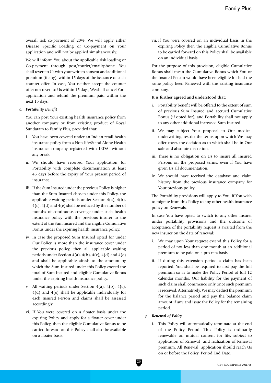overall risk co-payment of 20%. We will apply either Disease Specific Loading or Co-payment on your application and will not be applied simultaneously.

We will inform You about the applicable risk loading or Co-payment through post/courier/email/phone. You shall revert to Us with your written consent and additional premium (if any), within 15 days of the issuance of such counter offer. In case, You neither accept the counter offer nor revert to Us within 15 days, We shall cancel Your application and refund the premium paid within the next 15 days.

#### *o. Portability Benefit*

You can port Your existing health insurance policy from another company or from existing product of Royal Sundaram to Family Plus, provided that:

- i. You have been covered under an Indian retail health insurance policy from a Non-life/Stand Alone Health insurance company registered with IRDAI without any break.
- ii. We should have received Your application for Portability with complete documentation at least 45 days before the expiry of Your present period of insurance.
- iii. If the Sum Insured under the previous Policy is higher than the Sum Insured chosen under this Policy, the applicable waiting periods under Section 4(a), 4(b), 4(c), 4(d) and 4(e) shall be reduced by the number of months of continuous coverage under such health insurance policy with the previous insurer to the extent of the Sum Insured and the eligible Cumulative Bonus under the expiring health insurance policy.
- iv. In case the proposed Sum Insured opted for under Our Policy is more than the insurance cover under the previous policy, then all applicable waiting periods under Section 4(a), 4(b), 4(c), 4(d) and 4(e) and shall be applicable afresh to the amount by which the Sum Insured under this Policy exceed the total of Sum Insured and eligible Cumulative Bonus under the expiring health insurance policy.
- v. All waiting periods under Section  $4(a)$ ,  $4(b)$ ,  $4(c)$ , 4(d) and 4(e) shall be applicable individually for each Insured Person and claims shall be assessed accordingly.
- vi. If You were covered on a floater basis under the expiring Policy and apply for a floater cover under this Policy, then the eligible Cumulative Bonus to be carried forward on this Policy shall also be available on a floater basis.

vii. If You were covered on an individual basis in the expiring Policy then the eligible Cumulative Bonus to be carried forward on this Policy shall be available on an individual basis.

For the purpose of this provision, eligible Cumulative Bonus shall mean the Cumulative Bonus which You or the Insured Person would have been eligible for had the same policy been Renewed with the existing insurance company.

## **It is further agreed and understood that:**

- i. Portability benefit will be offered to the extent of sum of previous Sum Insured and accrued Cumulative Bonus (if opted for), and Portability shall not apply to any other additional increased Sum Insured.
- ii. We may subject Your proposal to Our medical underwriting, restrict the terms upon which We may offer cover, the decision as to which shall be in Our sole and absolute discretion.
- iii. There is no obligation on Us to insure all Insured Persons on the proposed terms, even if You have given Us all documentation.
- iv. We should have received the database and claim history from the previous insurance company for Your previous policy.

The Portability provisions will apply to You, if You wish to migrate from this Policy to any other health insurance policy on Renewals.

In case You have opted to switch to any other insurer under portability provisions and the outcome of acceptance of the portability request is awaited from the new insurer on the date of renewal:

- i. We may upon Your request extend this Policy for a period of not less than one month at an additional premium to be paid on a pro-rata basis.
- ii. If during this extension period a claim has been reported, You shall be required to first pay the full premium so as to make the Policy Period of full 12 calendar months. Our liability for the payment of such claim shall commence only once such premium is received. Alternatively, We may deduct the premium for the balance period and pay the balance claim amount if any and issue the Policy for the remaining period.

## *p. Renewal of Policy*

i. This Policy will automatically terminate at the end of the Policy Period. This Policy is ordinarily renewable on mutual consent for life, subject to application of Renewal and realization of Renewal premium. All Renewal application should reach Us on or before the Policy Period End Date.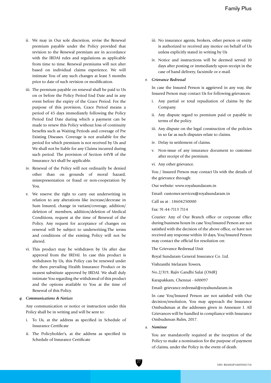- ii. We may in Our sole discretion, revise the Renewal premium payable under the Policy provided that revision to the Renewal premium are in accordance with the IRDAI rules and regulations as applicable from time to time. Renewal premiums will not alter based on individual claims experience. We will intimate You of any such changes at least 3 months prior to date of such revision or modification.
- iii. The premium payable on renewal shall be paid to Us on or before the Policy Period End Date and in any event before the expiry of the Grace Period. For the purpose of this provision, Grace Period means a period of 45 days immediately following the Policy Period End Date during which a payment can be made to renew this Policy without loss of continuity benefits such as Waiting Periods and coverage of Pre Existing Diseases. Coverage is not available for the period for which premium is not received by Us and We shall not be liable for any Claims incurred during such period. The provision of Section 64VB of the Insurance Act shall be applicable.
- iv. Renewal of the Policy will not ordinarily be denied other than on grounds of moral hazard, misrepresentation or fraud or non-cooperation by You.
- v. We reserve the right to carry out underwriting in relation to any alterations like increase/decrease in Sum Insured, change in variant/coverage, addition/ deletion of members, addition/deletion of Medical Conditions, request at the time of Renewal of the Policy. Any request for acceptance of changes on renewal will be subject to underwriting.The terms and conditions of the existing Policy will not be altered.
- vi. This product may be withdrawn by Us after due approval from the IRDAI. In case this product is withdrawn by Us, this Policy can be renewed under the then prevailing Health Insurance Product or its nearest substitute approved by IRDAI. We shall duly intimate You regarding the withdrawal of this product and the options available to You at the time of Renewal of this Policy.

#### *q. Communications & Notices*

Any communication or notice or instruction under this Policy shall be in writing and will be sent to:

- i. To Us, at the address as specified in Schedule of Insurance Certificate
- ii. The Policyholder's, at the address as specified in Schedule of Insurance Certificate
- iii. No insurance agents, brokers, other person or entity is authorized to received any motice on behalf of Us unless explicitly stated in writing by Us
- iv. Notice and instructions will be deemed served 10 days after posting or immediately upon receipt in the case of hand delivery, facsimile or e-mail.

#### *r. Grievance Redressal*

In case the Insured Person is aggrieved in any way, the Insured Person may contact Us for following grievances:

- i. Any partial or total repudiation of claims by the Company.
- ii. Any dispute regard to premium paid or payable in terms of the policy.
- iii. Any dispute on the legal construction of the policies in so far as such disputes relate to claims.
- iv. Delay in settlement of claims.
- v. Non-issue of any insurance document to customer after receipt of the premium.
- vi. Any other grievance.

You / Insured Person may contact Us with the details of the grievance through:

Our website: www.royalsundaram.in

Email: customer.services@royalsundaram.in

Call us at : 18604250000

Fax: 91-44-7113 7114

Courier: Any of Our Branch office or corporate office during business hours In case You/Insured Person are not satisfied with the decision of the above office, or have not received any response within 10 days, You/Insured Person may contact the official for resolution on:

The Grievance Redressal Unit

Royal Sundaram General Insurance Co. Ltd.

Vishranthi Melaram Towers,

No.2/319, Rajiv Gandhi Salai (OMR)

Karapakkam, Chennai - 600097

Email: grievance.redressal@royalsundaram.in

In case You/Insured Person are not satisfied with Our decision/resolution, You may approach the Insurance Ombudsman at the addresses given in Annexure I. All Grievances will be handled in compliance with Insurance Ombudsman Rules, 2017.

*s. Nominee*

You are mandatorily required at the inception of the Policy to make a nomination for the purpose of payment of claims, under the Policy in the event of death.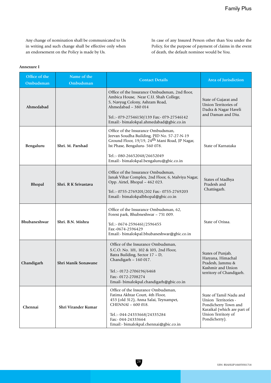Any change of nomination shall be communicated to Us in writing and such change shall be effective only when an endorsement on the Policy is made by Us.

In case of any Insured Person other than You under the Policy, for the purpose of payment of claims in the event of death, the default nominee would be You.

#### **Annexure I**

| Office of the<br>Ombudsman               | Name of the<br>Ombudsman | <b>Contact Details</b>                                                                                                                                                                                                              | Area of Jurisdiction                                                                                                                         |
|------------------------------------------|--------------------------|-------------------------------------------------------------------------------------------------------------------------------------------------------------------------------------------------------------------------------------|----------------------------------------------------------------------------------------------------------------------------------------------|
| Ahmedabad                                |                          | Office of the Insurance Ombudsman, 2nd floor,<br>Ambica House, Near C.U. Shah College,<br>5, Navyug Colony, Ashram Road,<br>Ahmedabad - 380 014<br>Tel.:- 079-27546150/139 Fax:- 079-27546142                                       | State of Gujarat and<br>Union Territories of<br>Dadra & Nagar Haveli<br>and Daman and Diu.                                                   |
|                                          |                          | Email:- bimalokpal.ahmedabad@gbic.co.in                                                                                                                                                                                             |                                                                                                                                              |
| Bengaluru                                | Shri. M. Parshad         | Office of the Insurance Ombudsman,<br>Jeevan Soudha Building, PID No. 57-27-N-19<br>Ground Floor, 19/19, 24 <sup>th</sup> Mani Road, JP Nagar,<br>Ist Phase, Bengaluru- 560 078.                                                    | State of Karnataka                                                                                                                           |
|                                          |                          | Tel.:- 080-26652048/26652049<br>Email:- bimalokpal.bengaluru@gbic.co.in                                                                                                                                                             |                                                                                                                                              |
| <b>Bhopal</b><br>Shri. R K Srivastava    |                          | Office of the Insurance Ombudsman,<br>Janak Vihar Complex, 2nd Floor, 6, Malviya Nagar,<br>Opp. Airtel, Bhopal - 462 023.<br>Tel.:- 0755-2769201/202 Fax:- 0755-2769203<br>Email:- bimalokpalbhopal@gbic.co.in                      | States of Madhya<br>Pradesh and<br>Chattisgarh.                                                                                              |
| <b>Bhubaneshwar</b><br>Shri. B.N. Mishra |                          | Office of the Insurance Ombudsman, 62,<br>Forest park, Bhubneshwar - 751 009.<br>Tel.:- 0674-2596461/2596455<br>Fax:-0674-2596429<br>Email:- bimalokpal.bhubaneshwar@gbic.co.in                                                     | State of Orissa.                                                                                                                             |
| Chandigarh                               | Shri Manik Sonawane      | Office of the Insurance Ombudsman,<br>S.C.O. No. 101, 102 & 103, 2nd Floor,<br>Batra Building, Sector 17 - D,<br>Chandigarh - 160 017.<br>Tel.:- 0172-2706196/6468<br>Fax:- 0172-2708274<br>Email- bimalokpal.chandigarh@gbic.co.in | States of Punjab,<br>Haryana, Himachal<br>Pradesh, Jammu &<br>Kashmir and Union<br>territory of Chandigarh.                                  |
| Chennai                                  | Shri Virander Kumar      | Office of the Insurance Ombudsman,<br>Fatima Akhtar Court, 4th Floor,<br>453 (old 312), Anna Salai, Teynampet,<br>CHENNAI - 600 018.<br>Tel.:- 044-24333668/24335284<br>Fax:- 044-24333664<br>Email:- bimalokpal.chennai@gbic.co.in | State of Tamil Nadu and<br>Union Territories -<br>Pondicherry Town and<br>Karaikal (which are part of<br>Union Territory of<br>Pondicherry). |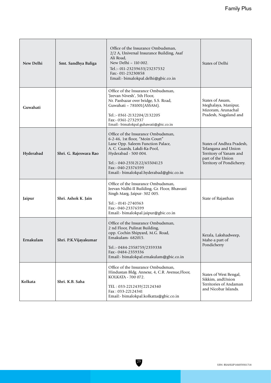| New Delhi | Smt. Sandhya Baliga    | Office of the Insurance Ombudsman,<br>2/2 A, Universal Insurance Building, Asaf<br>Ali Road,<br>New Delhi - 110 002.<br>Tel.:- 011-23239633/23237532<br>Fax:- 011-23230858<br>Email:- bimalokpal.delhi@gbic.co.in                                                   | States of Delhi                                                                                                              |
|-----------|------------------------|---------------------------------------------------------------------------------------------------------------------------------------------------------------------------------------------------------------------------------------------------------------------|------------------------------------------------------------------------------------------------------------------------------|
| Guwahati  |                        | Office of the Insurance Ombudsman,<br>'Jeevan Nivesh', 5th Floor,<br>Nr. Panbazar over bridge, S.S. Road,<br>Guwahati - 781001 (ASSAM).<br>Tel.:- 0361-2132204/2132205<br>Fax:- 0361-2732937<br>Email:- bimalokpal.guhawati@gbic.co.in                              | States of Assam,<br>Meghalaya, Manipur,<br>Mizoram, Arunachal<br>Pradesh, Nagaland and                                       |
| Hyderabad | Shri. G. Rajeswara Rao | Office of the Insurance Ombudsman,<br>6-2-46, 1st floor, "Moin Court"<br>Lane Opp. Saleem Function Palace,<br>A. C. Guards, Lakdi-Ka-Pool,<br>Hyderabad - 500 004.<br>Tel.:- 040-23312122/65504123<br>Fax:- 040-23376599<br>Email:- bimalokpal.hyderabad@gbic.co.in | States of Andhra Pradesh,<br>Telangana and Union<br>Territory of Yanam and<br>part of the Union<br>Territory of Pondicherry. |
| Jaipur    | Shri. Ashok K. Jain    | Office of the Insurance Ombudsman,<br>Jeevan Nidhi-II Building, Gr. Floor, Bhawani<br>Singh Marg, Jaipur- 302 005.<br>Tel.:- 0141-2740363<br>Fax:- 040-23376599<br>Email:- bimalokpal.jaipur@gbic.co.in                                                             | State of Rajasthan                                                                                                           |
| Ernakulam | Shri. P.K.Vijayakumar  | Office of the Insurance Ombudsman,<br>2 nd Floor, Pulinat Building,<br>opp. Cochin Shipyard, M.G. Road,<br>Ernakulam- 682015.<br>Tel.:- 0484-2358759/2359338<br>Fax:- 0484-2359336<br>Email:- bimalokpal.ernakulam@gbic.co.in                                       | Kerala, Lakshadweep,<br>Mahe-a part of<br>Pondicherry                                                                        |
| Kolkata   | Shri. K.B. Saha        | Office of the Insurance Ombudsman,<br>Hindustan Bldg. Annexe, 4, C.R. Avenue, Floor,<br>KOLKATA - 700 072.<br>TEL: 033-2212439/22124340<br>Fax: 033-22124341<br>Email:- bimalokpal.kolkatta@gbic.co.in                                                              | States of West Bengal,<br>Sikkim, and Union<br>Territories of Andaman<br>and Nicobar Islands.                                |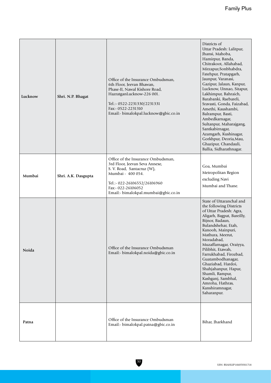| Lucknow | Shri. N.P. Bhagat   | Office of the Insurance Ombudsman,<br>6th Floor, Jeevan Bhawan,<br>Phase-II, Nawal Kishore Road,<br>HazratganLucknow-226 001.<br>Tel.:- 0522-2231330/2231331<br>Fax:- 0522-2231310<br>Email:- bimalokpal.lucknow@gbic.co.in | Districts of<br>Uttar Pradesh: Lalitpur,<br>Jhansi, Mahoba,<br>Hamirpur, Banda,<br>Chitrakoot, Allahabad,<br>Mirzapur, Sonbhabdra,<br>Fatehpur, Pratapgarh,<br>Jaunpur, Varanasi,<br>Gazipur, Jalaun, Kanpur,<br>Lucknow, Unnao, Sitapur,<br>Lakhimpur, Bahraich,<br>Barabanki, Raebareli,<br>Sravasti, Gonda, Faizabad,<br>Amethi, Kaushambi,<br>Balrampur, Basti,<br>Ambedkarnagar,<br>Sultanpur, Maharajgang,<br>Santkabirnagar,<br>Azamgarh, Kushinagar,<br>Gorkhpur, Deoria, Mau,<br>Ghazipur, Chandauli,<br>Ballia, Sidharathnagar. |
|---------|---------------------|-----------------------------------------------------------------------------------------------------------------------------------------------------------------------------------------------------------------------------|-------------------------------------------------------------------------------------------------------------------------------------------------------------------------------------------------------------------------------------------------------------------------------------------------------------------------------------------------------------------------------------------------------------------------------------------------------------------------------------------------------------------------------------------|
| Mumbai  | Shri. A.K. Dasgupta | Office of the Insurance Ombudsman,<br>3rd Floor, Jeevan Seva Annexe,<br>S. V. Road, Santacruz (W),<br>Mumbai - 400 054.<br>Tel.:- 022-26106552/26106960<br>Fax:- 022-26106052<br>Email:- bimalokpal.mumbai@gbic.co.in       | Goa, Mumbai<br>Metropolitan Region<br>excluding Navi<br>Mumbai and Thane.                                                                                                                                                                                                                                                                                                                                                                                                                                                                 |
| Noida   |                     | Office of the Insurance Ombudsman<br>Email:- bimalokpal.noida@gbic.co.in                                                                                                                                                    | State of Uttaranchal and<br>the following Districts<br>of Uttar Pradesh: Agra,<br>Aligarh, Bagpat, Bareilly,<br>Bijnor, Badaun,<br>Bulandshehar, Etah,<br>Kanooh, Mainpuri,<br>Mathura, Meerut,<br>Moradabad,<br>Muzaffarnagar, Oraiyya,<br>Pilibhit, Etawah,<br>Farrukhabad, Firozbad,<br>Guatambodhanagar,<br>Ghaziabad, Hardoi,<br>Shahjahanpur, Hapur,<br>Shamli, Rampur,<br>Kashganj, Sambhal,<br>Amroha, Hathras,<br>Kanshiramnagar,<br>Saharanpur.                                                                                 |
| Patna   |                     | Office of the Insurance Ombudsman<br>Email:- bimalokpal.patna@gbic.co.in                                                                                                                                                    | Bihar, Jharkhand                                                                                                                                                                                                                                                                                                                                                                                                                                                                                                                          |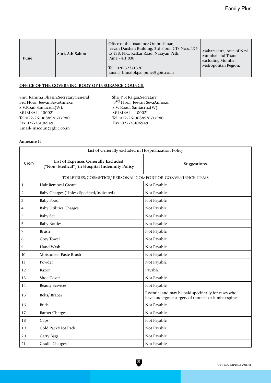| Pune | Shri. A.K.Sahoo | Office of the Insurance Ombudsman,<br>Jeevan Darshan Building, 3rd Floor, CTS No.s. 195<br>to 198, N.C. Kelkar Road, Narayan Peth,<br>Pune - 411 030.<br>Tel.: 020-32341320<br>Email:- bimalokpal.pune@gbic.co.in | Maharashtra, Area of Navi<br>Mumbai and Thane<br>excluding Mumbai<br>Metropolitan Region. |
|------|-----------------|-------------------------------------------------------------------------------------------------------------------------------------------------------------------------------------------------------------------|-------------------------------------------------------------------------------------------|
|------|-----------------|-------------------------------------------------------------------------------------------------------------------------------------------------------------------------------------------------------------------|-------------------------------------------------------------------------------------------|

## **OFFICE OF THE GOVERNING BODY OF INSURANCE COUNCIL**

Smt. Ramma Bhasin,SecretaryGeneral Shri Y R Raigar,Secretary<br>3rd Floor, JeevanSevaAnnexe, 3rd Floor, Jeevan SevaAn 3rd Floor, JeevanSevaAnnexe,<br>
S.V. Road, Santacruz(W),<br>
S.V. Road, Santacruz(W),<br>
S.V. Road, Santacruz(W), S.V.Road,Santacruz(W), S.V. Road, Santacruz(W), MUMBAI –400021<br>Tel:022-26106889/671/980<br>Tel:022-26106889/671/980<br>Tel:022-26106889/6 Tel:022-26106889/671/980<br>
Fax:022-26106949<br>
Fax:022-26106949 Email- inscoun@gbic.co.in

Fax:022-26106949 Fax :022-26106949

## **Annexure II**

|                | List of Generally excluded in Hospitalization Policy                                |                                                                                                             |  |  |
|----------------|-------------------------------------------------------------------------------------|-------------------------------------------------------------------------------------------------------------|--|--|
| S.NO           | List of Expenses Generally Excluded<br>("Non-Medical") in Hospital Indemnity Policy | Suggestions                                                                                                 |  |  |
|                | TOILETRIES/COSMETICS/ PERSONAL COMFORT OR CONVENIENCE ITEMS                         |                                                                                                             |  |  |
| $\mathbf{1}$   | Hair Removal Cream                                                                  | Not Payable                                                                                                 |  |  |
| $\overline{2}$ | Baby Charges (Unless Specified/Indicated)                                           | Not Payable                                                                                                 |  |  |
| 3              | <b>Baby Food</b>                                                                    | Not Payable                                                                                                 |  |  |
| 4              | <b>Baby Utilities Charges</b>                                                       | Not Payable                                                                                                 |  |  |
| 5              | <b>Baby Set</b>                                                                     | Not Payable                                                                                                 |  |  |
| 6              | <b>Baby Bottles</b>                                                                 | Not Payable                                                                                                 |  |  |
| 7              | <b>Brush</b>                                                                        | Not Payable                                                                                                 |  |  |
| 8              | Cosy Towel                                                                          | Not Payable                                                                                                 |  |  |
| 9              | Hand Wash                                                                           | Not Payable                                                                                                 |  |  |
| 10             | Moisturiser Paste Brush                                                             | Not Payable                                                                                                 |  |  |
| 11             | Powder                                                                              | Not Payable                                                                                                 |  |  |
| 12             | Razor                                                                               | Payable                                                                                                     |  |  |
| 13             | Shoe Cover                                                                          | Not Payable                                                                                                 |  |  |
| 14             | <b>Beauty Services</b>                                                              | Not Payable                                                                                                 |  |  |
| 15             | <b>Belts/Braces</b>                                                                 | Essential and may be paid specifically for cases who<br>have undergone surgery of thoracic or lumbar spine. |  |  |
| 16             | <b>Buds</b>                                                                         | Not Payable                                                                                                 |  |  |
| 17             | <b>Barber Charges</b>                                                               | Not Payable                                                                                                 |  |  |
| 18             | Caps                                                                                | Not Payable                                                                                                 |  |  |
| 19             | Cold Pack/Hot Pack                                                                  | Not Payable                                                                                                 |  |  |
| 20             | Carry Bags                                                                          | Not Payable                                                                                                 |  |  |
| 21             | <b>Cradle Charges</b>                                                               | Not Payable                                                                                                 |  |  |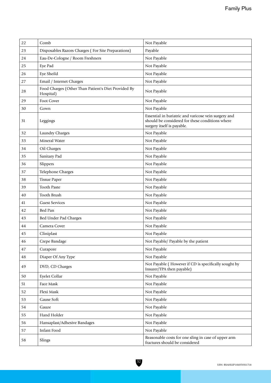| 22     | Comb                                                             | Not Payable                                                                                                                           |
|--------|------------------------------------------------------------------|---------------------------------------------------------------------------------------------------------------------------------------|
| 23     | Disposables Razors Charges (For Site Preparations)               | Payable                                                                                                                               |
| 24     | Eau-De-Cologne / Room Freshners                                  | Not Payable                                                                                                                           |
| 25     | Eye Pad                                                          | Not Payable                                                                                                                           |
| 26     | Eye Sheild                                                       | Not Payable                                                                                                                           |
| 27     | Email / Internet Charges                                         | Not Payable                                                                                                                           |
| 28     | Food Charges (Other Than Patient's Diet Provided By<br>Hospital) | Not Payable                                                                                                                           |
| 29     | Foot Cover                                                       | Not Payable                                                                                                                           |
| 30     | Gown                                                             | Not Payable                                                                                                                           |
| 31     | Leggings                                                         | Essential in bariatric and varicose vein surgery and<br>should be considered for these conditions where<br>surgery itself is payable. |
| 32     | Laundry Charges                                                  | Not Payable                                                                                                                           |
| 33     | Mineral Water                                                    | Not Payable                                                                                                                           |
| 34     | Oil Charges                                                      | Not Payable                                                                                                                           |
| 35     | Sanitary Pad                                                     | Not Payable                                                                                                                           |
| 36     | Slippers                                                         | Not Payable                                                                                                                           |
| 37     | Telephone Charges                                                | Not Payable                                                                                                                           |
| 38     | <b>Tissue Paper</b>                                              | Not Payable                                                                                                                           |
| 39     | <b>Tooth Paste</b>                                               | Not Payable                                                                                                                           |
| 40     | <b>Tooth Brush</b>                                               | Not Payable                                                                                                                           |
| 41     | <b>Guest Services</b>                                            | Not Payable                                                                                                                           |
| 42     | Bed Pan                                                          | Not Payable                                                                                                                           |
| 43     | Bed Under Pad Charges                                            | Not Payable                                                                                                                           |
| 44     | Camera Cover                                                     | Not Payable                                                                                                                           |
| 45     | Cliniplast                                                       | Not Payable                                                                                                                           |
| 46     | Crepe Bandage                                                    | Not Payable/ Payable by the patient                                                                                                   |
| 47     | Curapore                                                         | Not Payable                                                                                                                           |
| 48     | Diaper Of Any Type                                               | Not Payable                                                                                                                           |
| 49     | DVD, CD Charges                                                  | Not Payable (However if CD is specifically sought by<br>Insurer/TPA then payable)                                                     |
| $50\,$ | Eyelet Collar                                                    | Not Payable                                                                                                                           |
| 51     | Face Mask                                                        | Not Payable                                                                                                                           |
| 52     | Flexi Mask                                                       | Not Payable                                                                                                                           |
| 53     | Gause Soft                                                       | Not Payable                                                                                                                           |
| 54     | Gauze                                                            | Not Payable                                                                                                                           |
| 55     | Hand Holder                                                      | Not Payable                                                                                                                           |
| 56     | Hansaplast/Adhesive Bandages                                     | Not Payable                                                                                                                           |
| 57     | Infant Food                                                      | Not Payable                                                                                                                           |
| 58     | Slings                                                           | Reasonable costs for one sling in case of upper arm<br>fractures should be considered                                                 |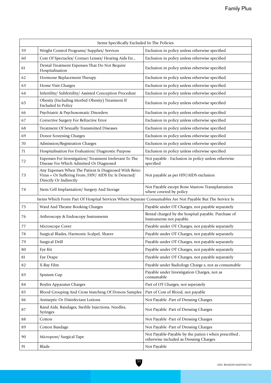| Items Specifically Excluded In The Policies |                                                                                                                                                                                   |                                                                                                |  |
|---------------------------------------------|-----------------------------------------------------------------------------------------------------------------------------------------------------------------------------------|------------------------------------------------------------------------------------------------|--|
| 59                                          | Weight Control Programs/ Supplies/ Services                                                                                                                                       | Exclusion in policy unless otherwise specified                                                 |  |
| 60                                          | Cost Of Spectacles/ Contact Lenses/ Hearing Aids Etc.,                                                                                                                            | Exclusion in policy unless otherwise specified                                                 |  |
| 61                                          | Dental Treatment Expenses That Do Not Require<br>Hospitalisation                                                                                                                  | Exclusion in policy unless otherwise specified                                                 |  |
| 62                                          | Hormone Replacement Therapy                                                                                                                                                       | Exclusion in policy unless otherwise specified                                                 |  |
| 63                                          | Home Visit Charges                                                                                                                                                                | Exclusion in policy unless otherwise specified                                                 |  |
| 64                                          | Infertility/ Subfertility/ Assisted Conception Procedure                                                                                                                          | Exclusion in policy unless otherwise specified                                                 |  |
| 65                                          | Obesity (Including Morbid Obesity) Treatment If<br><b>Excluded In Policy</b>                                                                                                      | Exclusion in policy unless otherwise specified                                                 |  |
| 66                                          | Psychiatric & Psychosomatic Disorders                                                                                                                                             | Exclusion in policy unless otherwise specified                                                 |  |
| 67                                          | Corrective Surgery For Refractive Error                                                                                                                                           | Exclusion in policy unless otherwise specified                                                 |  |
| 68                                          | Treatment Of Sexually Transmitted Diseases                                                                                                                                        | Exclusion in policy unless otherwise specified                                                 |  |
| 69                                          | Donor Screening Charges                                                                                                                                                           | Exclusion in policy unless otherwise specified                                                 |  |
| 70                                          | Admission/Registration Charges                                                                                                                                                    | Exclusion in policy unless otherwise specified                                                 |  |
| 71                                          | Hospitalisation For Evaluation/ Diagnostic Purpose                                                                                                                                | Exclusion in policy unless otherwise specified                                                 |  |
| 72                                          | Expenses For Investigation/Treatment Irrelevant To The<br>Disease For Which Admitted Or Diagnosed                                                                                 | Not payable - Exclusion in policy unless otherwise<br>specified                                |  |
| 73                                          | Any Expenses When The Patient Is Diagnosed With Retro<br>Virus + Or Suffering From /HIV/ AIDS Etc Is Detected/<br>Not payable as per HIV/AIDS exclusion<br>Directly Or Indirectly |                                                                                                |  |
| 74                                          | Stem Cell Implantation/ Surgery And Storage                                                                                                                                       | Not Payable except Bone Marrow Transplantation<br>where covered by policy                      |  |
|                                             | Items Which Form Part Of Hospital Services Where Separate Consumables Are Not Payable But The Service Is                                                                          |                                                                                                |  |
| 75                                          | Ward And Theatre Booking Charges                                                                                                                                                  | Payable under OT Charges, not payable separately                                               |  |
| 76                                          | Arthroscopy & Endoscopy Instruments                                                                                                                                               | Rental charged by the hospital payable. Purchase of<br>Instruments not payable.                |  |
| 77                                          | Microscope Cover                                                                                                                                                                  | Payable under OT Charges, not payable separately                                               |  |
| 78                                          | Surgical Blades, Harmonic Scalpel, Shaver                                                                                                                                         | Payable under OT Charges, not payable separately                                               |  |
| 79                                          | Surgical Drill                                                                                                                                                                    | Payable under OT Charges, not payable separately                                               |  |
| $80\,$                                      | Eye Kit                                                                                                                                                                           | Payable under OT Charges, not payable separately                                               |  |
| 81                                          | Eye Drape                                                                                                                                                                         | Payable under OT Charges, not payable separately                                               |  |
| 82                                          | X-Ray Film                                                                                                                                                                        | Payable under Radiology Charge s, not as consumable                                            |  |
| 83                                          | Sputum Cup                                                                                                                                                                        | Payable under Investigation Charges, not as<br>consumable                                      |  |
| $\bf 84$                                    | <b>Boyles Apparatus Charges</b>                                                                                                                                                   | Part of OT Charges, not seperately                                                             |  |
| 85                                          | Blood Grouping And Cross Matching Of Donors Samples                                                                                                                               | Part of Cost of Blood, not payable                                                             |  |
| 86                                          | Antiseptic Or Disinfectant Lotions                                                                                                                                                | Not Payable -Part of Dressing Charges                                                          |  |
| 87                                          | Band Aids, Bandages, Sterlile Injections, Needles,<br>Syringes                                                                                                                    | Not Payable -Part of Dressing Charges                                                          |  |
| 88                                          | Cotton                                                                                                                                                                            | Not Payable -Part of Dressing Charges                                                          |  |
| 89                                          | Cotton Bandage                                                                                                                                                                    | Not Payable -Part of Dressing Charges                                                          |  |
| 90                                          | Micropore/ Surgical Tape                                                                                                                                                          | Not Payable-Payable by the patien t when prescribed,<br>otherwise included as Dressing Charges |  |
| 91                                          | Blade                                                                                                                                                                             | Not Payable                                                                                    |  |
|                                             |                                                                                                                                                                                   |                                                                                                |  |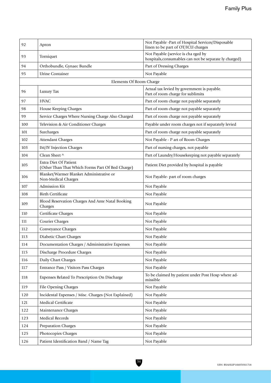| 92  | Apron                                                                     | Not Payable -Part of Hospital Services/Disposable<br>linen to be part of OT/ICU charges       |  |
|-----|---------------------------------------------------------------------------|-----------------------------------------------------------------------------------------------|--|
| 93  | Torniquet                                                                 | Not Payable (service is cha rged by<br>hospitals, consumables can not be separate ly charged) |  |
| 94  | Orthobundle, Gynaec Bundle                                                | Part of Dressing Charges                                                                      |  |
| 95  | <b>Urine Container</b>                                                    | Not Payable                                                                                   |  |
|     | Elements Of Room Charge                                                   |                                                                                               |  |
| 96  | Luxury Tax                                                                | Actual tax levied by government is payable.<br>Part of room charge for sublimits              |  |
| 97  | <b>HVAC</b>                                                               | Part of room charge not payable separately                                                    |  |
| 98  | House Keeping Charges                                                     | Part of room charge not payable separately                                                    |  |
| 99  | Service Charges Where Nursing Charge Also Charged                         | Part of room charge not payable separately                                                    |  |
| 100 | Television & Air Conditioner Charges                                      | Payable under room charges not if separately levied                                           |  |
| 101 | Surcharges                                                                | Part of room charge not payable separately                                                    |  |
| 102 | <b>Attendant Charges</b>                                                  | Not Payable - P art of Room Charges                                                           |  |
| 103 | IM/IV Injection Charges                                                   | Part of nursing charges, not payable                                                          |  |
| 104 | Clean Sheet ^                                                             | Part of Laundry/Housekeeping not payable separately                                           |  |
| 105 | Extra Diet Of Patient<br>(Other Than That Which Forms Part Of Bed Charge) | Patient Diet provided by hospital is payable                                                  |  |
| 106 | Blanket/Warmer Blanket Administrative or<br>Non-Medical Charges           | Not Payable- part of room charges                                                             |  |
| 107 | Admission Kit                                                             | Not Payable                                                                                   |  |
| 108 | <b>Birth Certificate</b>                                                  | Not Payable                                                                                   |  |
| 109 | Blood Reservation Charges And Ante Natal Booking<br>Charges               | Not Payable                                                                                   |  |
| 110 | Certificate Charges                                                       | Not Payable                                                                                   |  |
| 111 | <b>Courier Charges</b>                                                    | Not Payable                                                                                   |  |
| 112 | Conveyance Charges                                                        | Not Payable                                                                                   |  |
| 113 | Diabetic Chart Charges                                                    | Not Payable                                                                                   |  |
| 114 | Documentation Charges / Administrative Expenses                           | Not Payable                                                                                   |  |
| 115 | Discharge Procedure Charges                                               | Not Payable                                                                                   |  |
| 116 | Daily Chart Charges                                                       | Not Payable                                                                                   |  |
| 117 | Entrance Pass / Visitors Pass Charges                                     | Not Payable                                                                                   |  |
| 118 | Expenses Related To Prescription On Discharge                             | To be claimed by patient under Post Hosp where ad-<br>missible                                |  |
| 119 | File Opening Charges                                                      | Not Payable                                                                                   |  |
| 120 | Incidental Expenses / Misc. Charges (Not Explained)                       | Not Payable                                                                                   |  |
| 121 | Medical Certificate                                                       | Not Payable                                                                                   |  |
| 122 | Maintenance Charges                                                       | Not Payable                                                                                   |  |
| 123 | Medical Records                                                           | Not Payable                                                                                   |  |
| 124 | Preparation Charges                                                       | Not Payable                                                                                   |  |
| 125 | Photocopies Charges                                                       | Not Payable                                                                                   |  |
| 126 | Patient Identification Band / Name Tag                                    | Not Payable                                                                                   |  |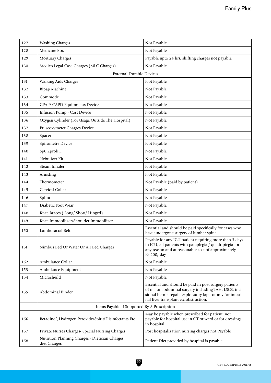| 127                                          | <b>Washing Charges</b>                                         | Not Payable                                                                                                                                                                                                          |  |
|----------------------------------------------|----------------------------------------------------------------|----------------------------------------------------------------------------------------------------------------------------------------------------------------------------------------------------------------------|--|
| 128                                          | Medicine Box                                                   | Not Payable                                                                                                                                                                                                          |  |
| 129                                          | Mortuary Charges                                               | Payable upto 24 hrs, shifting charges not payable                                                                                                                                                                    |  |
| 130                                          | Medico Legal Case Charges (MLC Charges)                        | Not Payable                                                                                                                                                                                                          |  |
|                                              | <b>External Durable Devices</b>                                |                                                                                                                                                                                                                      |  |
| 131                                          | Walking Aids Charges                                           | Not Payable                                                                                                                                                                                                          |  |
| 132                                          | <b>Bipap Machine</b>                                           | Not Payable                                                                                                                                                                                                          |  |
| 133                                          | Commode                                                        | Not Payable                                                                                                                                                                                                          |  |
| 134                                          | CPAP/ CAPD Equipments Device                                   | Not Payable                                                                                                                                                                                                          |  |
| 135                                          | Infusion Pump - Cost Device                                    | Not Payable                                                                                                                                                                                                          |  |
| 136                                          | Oxygen Cylinder (For Usage Outside The Hospital)               | Not Payable                                                                                                                                                                                                          |  |
| 137                                          | Pulseoxymeter Charges Device                                   | Not Payable                                                                                                                                                                                                          |  |
| 138                                          | Spacer                                                         | Not Payable                                                                                                                                                                                                          |  |
| 139                                          | Spirometre Device                                              | Not Payable                                                                                                                                                                                                          |  |
| 140                                          | Sp0 2prob E                                                    | Not Payable                                                                                                                                                                                                          |  |
| 141                                          | Nebulizer Kit                                                  | Not Payable                                                                                                                                                                                                          |  |
| 142                                          | Steam Inhaler                                                  | Not Payable                                                                                                                                                                                                          |  |
| 143                                          | Armsling                                                       | Not Payable                                                                                                                                                                                                          |  |
| 144                                          | Thermometer                                                    | Not Payable (paid by patient)                                                                                                                                                                                        |  |
| 145                                          | Cervical Collar                                                | Not Payable                                                                                                                                                                                                          |  |
| 146                                          | Splint                                                         | Not Payable                                                                                                                                                                                                          |  |
| 147                                          | Diabetic Foot Wear                                             | Not Payable                                                                                                                                                                                                          |  |
| 148                                          | Knee Braces (Long/Short/Hinged)                                | Not Payable                                                                                                                                                                                                          |  |
| 149                                          | Knee Immobilizer/Shoulder Immobilizer                          | Not Payable                                                                                                                                                                                                          |  |
| 150                                          | Lumbosacral Belt                                               | Essential and should be paid specifically for cases who<br>have undergone surgery of lumbar spine.                                                                                                                   |  |
| 151                                          | Nimbus Bed Or Water Or Air Bed Charges                         | Payable for any ICU patient requiring more than 3 days<br>in ICU, all patients with paraplegia / quadripiegia for<br>any reason and at reasonable cost of approximately<br>Rs 200/ day                               |  |
| 152                                          | Ambulance Collar                                               | Not Payable                                                                                                                                                                                                          |  |
| 153                                          | Ambulance Equipment                                            | Not Payable                                                                                                                                                                                                          |  |
| 154                                          | Microsheild                                                    | Not Payable                                                                                                                                                                                                          |  |
| 155                                          | Abdominal Binder                                               | Essential and should be paid in post surgery patients<br>of major abdominal surgery including TAH, LSCS, inci-<br>sional hernia repair, exploratory laparotomy for intesti-<br>nal liver transplant etc.obstruction, |  |
| Items Payable If Supported By A Prescription |                                                                |                                                                                                                                                                                                                      |  |
| 156                                          | Betadine \ Hydrogen Peroxide\Spirit\Disinfectants Etc          | May be payable when prescribed for patient, not<br>payable for hospital use in OT or ward or for dressings<br>in hospital                                                                                            |  |
| 157                                          | Private Nurses Charges- Special Nursing Charges                | Post hospitalization nursing charges not Payable                                                                                                                                                                     |  |
| 158                                          | Nutrition Planning Charges - Dietician Charges<br>diet Charges | Patient Diet provided by hospital is payable                                                                                                                                                                         |  |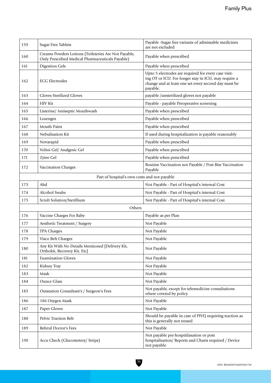| 159 | <b>Sugar Free Tablets</b>                                                                                | Payable -Sugar free variants of admissable medicines<br>are not excluded                                                                                                         |  |
|-----|----------------------------------------------------------------------------------------------------------|----------------------------------------------------------------------------------------------------------------------------------------------------------------------------------|--|
| 160 | Creams Powders Lotions (Toileteries Are Not Payable,<br>Only Prescribed Medical Pharmaceuticals Payable) | Payable when prescribed                                                                                                                                                          |  |
| 161 | <b>Digestion Gels</b>                                                                                    | Payable when prescribed                                                                                                                                                          |  |
| 162 | <b>ECG Electrodes</b>                                                                                    | Upto 5 electrodes are required for every case visit-<br>ing OT or ICU. For longer stay in ICU, may require a<br>change and at least one set every second day must be<br>payable. |  |
| 163 | <b>Gloves Sterilized Gloves</b>                                                                          | payable /unsterilized gloves not payable                                                                                                                                         |  |
| 164 | <b>HIV Kit</b>                                                                                           | Payable - payable Preoperative screening                                                                                                                                         |  |
| 165 | Listerine/ Antiseptic Mouthwash                                                                          | Payable when prescribed                                                                                                                                                          |  |
| 166 | Lozenges                                                                                                 | Payable when prescribed                                                                                                                                                          |  |
| 167 | Mouth Paint                                                                                              | Payable when prescribed                                                                                                                                                          |  |
| 168 | Nebulisation Kit                                                                                         | If used during hospitalization is payable reasonably                                                                                                                             |  |
| 169 | Novarapid                                                                                                | Payable when prescribed                                                                                                                                                          |  |
| 170 | Volini Gel/ Analgesic Gel                                                                                | Payable when prescribed                                                                                                                                                          |  |
| 171 | Zytee Gel                                                                                                | Payable when prescribed                                                                                                                                                          |  |
| 172 | Vaccination Charges                                                                                      | Routine Vaccination not Payable / Post Bite Vaccination<br>Payable                                                                                                               |  |
|     | Part of hospital's own costs and not payable                                                             |                                                                                                                                                                                  |  |
| 173 | Ahd                                                                                                      | Not Payable - Part of Hospital's internal Cost                                                                                                                                   |  |
| 174 | Alcohol Swabs                                                                                            | Not Payable - Part of Hospital's internal Cost                                                                                                                                   |  |
| 175 | Scrub Solution/Sterillium                                                                                | Not Payable - Part of Hospital's internal Cost                                                                                                                                   |  |
|     | Others                                                                                                   |                                                                                                                                                                                  |  |
| 176 | Vaccine Charges For Baby                                                                                 | Payable as per Plan                                                                                                                                                              |  |
| 177 | Aesthetic Treatment / Surgery                                                                            | Not Payable                                                                                                                                                                      |  |
| 178 | <b>TPA Charges</b>                                                                                       | Not Payable                                                                                                                                                                      |  |
| 179 | Visco Belt Charges                                                                                       | Not Payable                                                                                                                                                                      |  |
| 180 | Any Kit With No Details Mentioned [Delivery Kit,<br>Orthokit, Recovery Kit, Etc]                         | Not Payable                                                                                                                                                                      |  |
| 181 | <b>Examination Gloves</b>                                                                                | Not Payable                                                                                                                                                                      |  |
| 182 | Kidney Tray                                                                                              | Not Payable                                                                                                                                                                      |  |
| 183 | Mask                                                                                                     | Not Payable                                                                                                                                                                      |  |
| 184 | <b>Ounce Glass</b>                                                                                       | Not Payable                                                                                                                                                                      |  |
| 185 | Outstation Consultant's / Surgeon's Fees                                                                 | Not payable, except for telemedicine consultations<br>where covered by policy                                                                                                    |  |
| 186 | 186 Oxygen Mask                                                                                          | Not Payable                                                                                                                                                                      |  |
| 187 | Paper Gloves                                                                                             | Not Payable                                                                                                                                                                      |  |
| 188 | Pelvic Traction Belt                                                                                     | Should be payable in case of PIVI) requiring traction as<br>this is generally not reused                                                                                         |  |
| 189 | Referal Doctor's Fees                                                                                    | Not Payable                                                                                                                                                                      |  |
| 190 | Accu Check (Glucometery/ Strips)                                                                         | Not payable pre-hospitilasation or post<br>hospitalisation/ Reports and Charts required / Device<br>not payable                                                                  |  |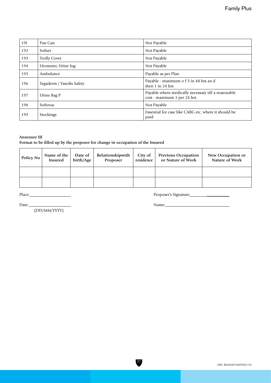| 191 | Pan Can                   | Not Payable                                                                        |  |
|-----|---------------------------|------------------------------------------------------------------------------------|--|
| 192 | Sofnet                    | Not Payable                                                                        |  |
| 193 | <b>Trolly Cover</b>       | Not Payable                                                                        |  |
| 194 | Urometer, Urine Jug       | Not Payable                                                                        |  |
| 195 | Ambulance                 | Payable as per Plan                                                                |  |
| 196 | Tegaderm / Vasofix Safety | Payable - maximum o f 3 in 48 hrs an d<br>then $1$ in $24$ hrs                     |  |
| 197 | Urine Bag P               | Payable where medically necessary till a reasonable<br>cost - maximum 1 per 24 hrs |  |
| 198 | Softovac                  | Not Payable                                                                        |  |
| 199 | Stockings                 | Essential for case like CABG etc. where it should be<br>paid.                      |  |

## **Annexure III**

## **Format to be filled up by the proposer for change in occupation of the Insured**

| <b>Policy No</b> | Name of the<br><b>Insured</b> | Date of<br>birth/Age | Relationshipwith<br>Proposer | City of<br>residence | <b>Previous Occupation</b><br>or Nature of Work | New Occupation or<br>Nature of Work |
|------------------|-------------------------------|----------------------|------------------------------|----------------------|-------------------------------------------------|-------------------------------------|
|                  |                               |                      |                              |                      |                                                 |                                     |
|                  |                               |                      |                              |                      |                                                 |                                     |

37

Place: Proposer's Signature \_\_\_\_\_\_\_\_\_\_\_

Date: Name: \_\_\_\_\_\_\_\_\_\_\_

(DD/MM/YYYY)

UIN: RSAHLIP18105V011718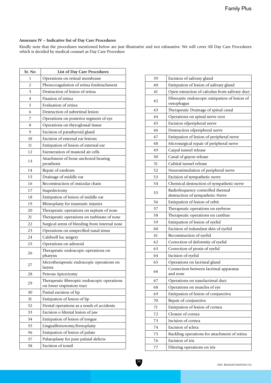## **Annexure IV – Indicative list of Day Care Procedures**

Kindly note that the procedures mentioned below are just illustrative and not exhaustive. We will cover All Day Care Procedures which is decided by medical counsel as Day Care Procedure

| Sr. No | List of Day Care Procedures                                                |
|--------|----------------------------------------------------------------------------|
| 1      | Operations on retinal membrane                                             |
| 2      | Photocoagulation of retina fordetachment                                   |
| 3      | Destruction of lesion of retina                                            |
| 4      | Fixation of retina                                                         |
| 5      | Evaluation of retina                                                       |
| 6      | Destruction of subretinal lesion                                           |
| 7      | Operations on posterior segment of eye                                     |
| 8      | Operations on thyroglossal tissue                                          |
| 9      | Excision of parathyroid gland                                              |
| 10     | Excision of external ear lesions                                           |
| 11     | Extirpation of lesion of external ear                                      |
| 12     | Exenteration of mastoid air cells                                          |
| 13     | Attachment of bone anchored hearing<br>prosthesis                          |
| 14     | Repair of eardrum                                                          |
| 15     | Drainage of middle ear                                                     |
| 16     | Reconstruction of ossicular chain                                          |
| 17     | Stapedectomy                                                               |
| 18     | Extirpation of lesion of middle ear                                        |
| 19     | Rhinoplasty for traumatic injuries                                         |
| 20     | Therapeutic operations on septum of nose                                   |
| 21     | Therapeutic operations on turbinate of nose                                |
| 22     | Surgical arrest of bleeding from internal nose                             |
| 23     | Operations on unspecified nasal sinus                                      |
| 24     | Caldwell luc surgery                                                       |
| 25     | Operations on adenoid                                                      |
| 26     | Therapeutic endoscopic operations on<br>pharynx                            |
| 27     | Microtherapeutic endoscopic operations on<br>larynx                        |
| 28     | Petrous Apicectomy                                                         |
| 29     | Therapeutic fibreoptic endoscopic operations<br>on lower respiratory tract |
| 30     | Partial excision of lip                                                    |
| 31     | Extirpation of lesion of lip                                               |
| 32     | Dental operations as a result of accidents                                 |
| 33     | Excision o fdental lesion of jaw                                           |
| 34     | Extirpation of lesion of tongue                                            |
| 35     | Lingualfrenotomy/frenoplasty                                               |
| 36     | Extirpation of lesion of palate                                            |
| 37     | Palatoplasty for pure palatal defects                                      |
| 38     | Excision of tonsil                                                         |

| 39 | Excision of salivary gland                                            |
|----|-----------------------------------------------------------------------|
| 40 | Extirpation of lesion of salivary gland                               |
| 41 | Open extraction of calculus from salivary duct                        |
| 42 | Fibreoptic endoscopic extirpation of lesion of<br>oesophagus          |
| 43 | Therapeutic Drainage of spinal canal                                  |
| 44 | Operations on spinal nerve root                                       |
| 45 | Excision ofperipheral nerve                                           |
| 46 | Destruction ofperipheral nerve                                        |
| 47 | Extirpation of lesion of peripheral nerve                             |
| 48 | Microsurgical repair of peripheral nerve                              |
| 49 | Carpal tunnel release                                                 |
| 50 | Canal of guyon release                                                |
| 51 | Cubital tunnel release                                                |
| 52 | Neurostimulation of peripheral nerve                                  |
| 53 | Excision of sympathetic nerve                                         |
| 54 | Chemical destruction of sympathetic nerve                             |
| 55 | Radiofrequency controlled thermal<br>destruction of sympathetic Nerve |
| 56 | Extirpation of lesion of orbit                                        |
| 57 | Therapeutic operations on eyebrow                                     |
| 58 | Therapeutic operations on canthus                                     |
| 59 | Extirpation of lesion of eyelid                                       |
| 60 | Excision of redundant skin of eyelid                                  |
| 61 | Reconstruction of eyelid                                              |
| 62 | Correction of deformity of eyelid                                     |
| 63 | Correction of ptosis of eyelid                                        |
| 64 | Incision of eyelid                                                    |
| 65 | Operations on lacrimal gland                                          |
| 66 | Connection between lacrimal apparatus<br>and nose                     |
| 67 | Operations on nasolacrimal duct                                       |
| 68 | Operations on muscles of eye                                          |
| 69 | Extirpation of lesion of conjunctiva                                  |
| 70 | Repair of conjunctiva                                                 |
| 71 | Extirpation of lesion of cornea                                       |
| 72 | Closure of cornea                                                     |
| 73 | Incision of cornea                                                    |
| 74 | Excision of sclera                                                    |
| 75 | Buckling operations for attachment of retina                          |
| 76 | Excision of iris                                                      |
| 77 | Filtering operations on iris                                          |

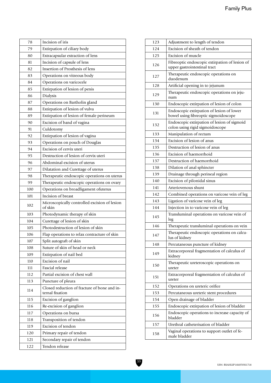| 78  | Incision of iris                                                |
|-----|-----------------------------------------------------------------|
| 79  | Extirpation of ciliary body                                     |
| 80  | Extracapsular extraction of lens                                |
| 81  | Incision of capsule of lens                                     |
| 82  | Insertion of Prosthesis of lens                                 |
| 83  | Operations on vitreous body                                     |
| 84  | Operations on varicocele                                        |
| 85  | Extirpation of lesion of penis                                  |
| 86  | Dialysis                                                        |
| 87  | Operations on Bartholin gland                                   |
| 88  | Extirpation of lesion of vulva                                  |
| 89  | Extirpation of lesion of female perineum                        |
| 90  | Excision of band of vagina                                      |
| 91  | Culdotomy                                                       |
| 92  | Extirpation of lesion of vagina                                 |
| 93  | Operations on pouch of Douglas                                  |
| 94  | Excision of cervix uteri                                        |
| 95  | Destruction of lesion of cervix uteri                           |
| 96  | Abdominal excision of uterus                                    |
| 97  | Dilatation and Curettage of uterus                              |
| 98  | Therapeutic endoscopic operations on uterus                     |
| 99  | Therapeutic endoscopic operations on ovary                      |
| 100 | Operations on broadligament ofuterus                            |
| 101 | Incision of breast                                              |
| 102 | Microscopically controlled excision of lesion<br>of skin        |
| 103 | Photodynamic therapy of skin                                    |
| 104 | Curettage of lesion of skin                                     |
| 105 | Photodestruction of lesion of skin                              |
| 106 | Flap operations to relax contracture of skin                    |
| 107 | Split autograft of skin                                         |
| 108 | Suture of skin of head or neck                                  |
| 109 | Extirpation of nail bed                                         |
| 110 | Excision of nail                                                |
| 111 | Fascial release                                                 |
| 112 | Partial excision of chest wall                                  |
| 113 | Puncture of pleura                                              |
| 114 | Closed reduction of fracture of bone and in-<br>ternal fixation |
| 115 | Excision of ganglion                                            |
| 116 | Re-excision of ganglion                                         |
| 117 | Operations on bursa                                             |
| 118 | Transposition of tendon                                         |
| 119 | Excision of tendon                                              |
| 120 | Primary repair of tendon                                        |
| 121 | Secondary repair of tendon                                      |
| 122 | Tendon release                                                  |

| 123 | Adjustment to length of tendon                                                    |
|-----|-----------------------------------------------------------------------------------|
| 124 | Excision of sheath of tendon                                                      |
| 125 | Excision of muscle                                                                |
| 126 | Fibreoptic endoscopic extirpation of lesion of<br>upper gastrointestinal tract    |
| 127 | Therapeutic endoscopic operations on<br>duodenum                                  |
| 128 | Artificial opening in to jejunum                                                  |
| 129 | Therapeutic endoscopic operations on jeju-<br>num                                 |
| 130 | Endoscopic extirpation of lesion of colon                                         |
| 131 | Endoscopic extirpation of lesion of lower<br>bowel using fibreoptic sigmoidoscope |
| 132 | Endoscopic extirpation of lesion of sigmoid<br>colon using rigid sigmoidoscope    |
| 133 | Manipulation of rectum                                                            |
| 134 | Excision of lesion of anus                                                        |
| 135 | Destruction of lesion of anus                                                     |
| 136 | Excision of haemorrhoid                                                           |
| 137 | Destruction of haemorrhoid                                                        |
| 138 | Dilation of anal sphincter                                                        |
| 139 | Drainage through perineal region                                                  |
| 140 | Excision of pilonidal sinus                                                       |
| 141 | Arteriovenous shunt                                                               |
| 142 | Combined operations on varicose vein of leg                                       |
| 143 | Ligation of varicose vein of leg                                                  |
| 144 | Injection in to varicose vein of leg                                              |
| 145 | Transluminal operations on varicose vein of<br>leg                                |
| 146 | Therapeutic transluminal operations on vein                                       |
| 147 | Therapeutic endoscopic operations on calcu-<br>lus of kidney                      |
| 148 | Percutaneous puncture of kidney                                                   |
| 149 | Extracorporeal fragmentation of calculus of<br>kidney                             |
| 150 | Therapeutic ureteroscopic operations on<br>ureter                                 |
| 151 | Extracorporeal fragmentation of calculus of<br>ureter                             |
| 152 | Operations on ureteric orifice                                                    |
| 153 | Percutaneous ureteric stent procedures                                            |
| 154 | Open drainage of bladder                                                          |
| 155 | Endoscopic extirpation of lesion of bladder                                       |
| 156 | Endoscopic operations to increase capacity of<br>bladder                          |
| 157 | Urethral catheterisation of bladder                                               |
| 158 | Vaginal operations to support outlet of fe-<br>male bladder                       |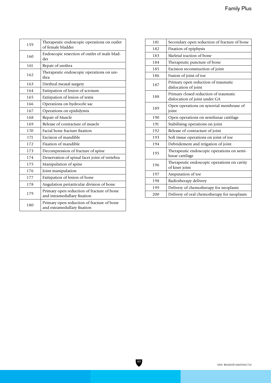| 159 | Therapeutic endoscopic operations on outlet<br>of female bladder          |
|-----|---------------------------------------------------------------------------|
| 160 | Endoscopic resection of outlet of male blad-<br>der                       |
| 161 | Repair of urethra                                                         |
| 162 | Therapeutic endoscopic operations on ure-<br>thra                         |
| 163 | Urethral meatal surgery                                                   |
| 164 | Extirpation of lesion of scrotum                                          |
| 165 | Extirpation of lesion of testis                                           |
| 166 | Operations on hydrocele sac                                               |
| 167 | Operations on epididymis                                                  |
| 168 | Repair of Muscle                                                          |
| 169 | Release of contracture of muscle                                          |
| 170 | Facial bone fracture fixation                                             |
| 171 | Excision of mandible                                                      |
| 172 | Fixation of mandible                                                      |
| 173 | Decompression of fracture of spine                                        |
| 174 | Denervation of spinal facet joint of vertebra                             |
| 175 | Manipulation of spine                                                     |
| 176 | Joint manipulation                                                        |
| 177 | Extirpation of lesion of bone                                             |
| 178 | Angulation periarticular division of bone                                 |
| 179 | Primary open reduction of fracture of bone<br>and intramedullary fixation |
| 180 | Primary open reduction of fracture of bone<br>and extramedullary fixation |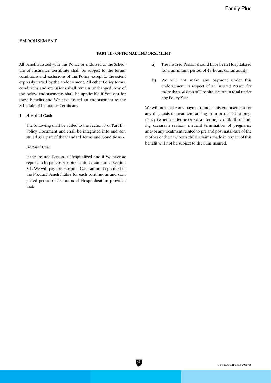## **ENDORSEMENT**

#### **PART III- OPTIONAL ENDORSEMENT**

All benefits issued with this Policy or endorsed to the Schedule of Insurance Certificate shall be subject to the terms, conditions and exclusions of this Policy, except to the extent expressly varied by the endorsement. All other Policy terms, conditions and exclusions shall remain unchanged. Any of the below endorsements shall be applicable if You opt for these benefits and We have issued an endorsement to the Schedule of Insurance Certificate.

#### **1. Hospital Cash**

The following shall be added to the Section 3 of Part II – Policy Document and shall be integrated into and con strued as a part of the Standard Terms and Conditions:-

## *Hospital Cash*

If the Insured Person is Hospitalized and if We have ac cepted an In-patient Hospitalization claim under Section 3.1, We will pay the Hospital Cash amount specified in the Product Benefit Table for each continuous and com pleted period of 24 hours of Hospitalization provided that:

- a) The Insured Person should have been Hospitalized for a minimum period of 48 hours continuously;
- b) We will not make any payment under this endorsement in respect of an Insured Person for more than 30 days of Hospitalisation in total under any Policy Year.

We will not make any payment under this endorsement for any diagnosis or treatment arising from or related to pregnancy (whether uterine or extra uterine), childbirth including caesarean section, medical termination of pregnancy and/or any treatment related to pre and post natal care of the mother or the new born child. Claims made in respect of this benefit will not be subject to the Sum Insured.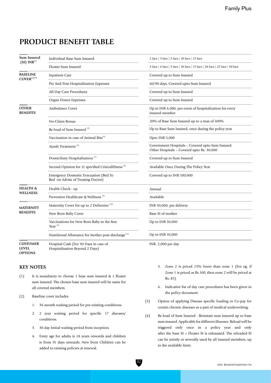## **PRODUCT BENEFIT TABLE**

| <b>Sum Insured</b><br>$(SI)$ INR <sup>(1)</sup>   | Individual Base Sum Insured                                                | 2 lacs   3 lacs   5 lacs   10 lacs   15 lacs                                                  |
|---------------------------------------------------|----------------------------------------------------------------------------|-----------------------------------------------------------------------------------------------|
|                                                   | Floater Sum Insured                                                        | 3 lacs   4 lacs   5 lacs   10 lacs   15 lacs   20 lacs   25 lacs   50 lacs                    |
| <b>BASELINE</b><br>$\text{COVER}^{(2) \, (3)}$    | <b>Inpatient Care</b>                                                      | Covered up to Sum Insured                                                                     |
|                                                   | Pre And Post Hospitalisation Expenses                                      | 60/90 days, Covered upto Sum Insured                                                          |
|                                                   | All Day Care Procedures                                                    | Covered up to Sum Insured                                                                     |
|                                                   | Organ Donor Expenses                                                       | Covered up to Sum Insured                                                                     |
| <b>OTHER</b><br><b>BENEFITS</b>                   | <b>Ambulance Cover</b>                                                     | Up to INR 4,000, per event of hospitalization for every<br>insured member                     |
|                                                   | No-Claim Bonus                                                             | 20% of Base Sum Insured up to a max of 100%                                                   |
|                                                   | Re-load of Sum Insured <sup>(4)</sup>                                      | Up to Base Sum Insured, once during the policy year                                           |
|                                                   | Vaccination in case of Animal Bite <sup>(5)</sup>                          | Upto INR 5,000                                                                                |
|                                                   | Ayush Treatment <sup>(6)</sup>                                             | Government Hospitals - Covered upto Sum Insured.<br>Other Hospitals - Covered upto Rs. 30,000 |
|                                                   | Domiciliary Hospitalisation <sup>(7)</sup>                                 | Covered up to Sum Insured                                                                     |
|                                                   | Second Opinion for 11 specified CriticalIIIness <sup>(8)</sup>             | Available Once During The Policy Year                                                         |
|                                                   | Emergency Domestic Evacuation (Bed To<br>Bed on Advise of Treating Doctor) | Covered up to INR 100,000                                                                     |
| <b>HEALTH &amp;</b><br><b>WELLNESS</b>            | Health Check - up                                                          | Annual                                                                                        |
|                                                   | Preventive Healthcare & Wellness <sup>(9)</sup>                            | Available                                                                                     |
| <b>MATERNITY</b><br><b>BENEFITS</b>               | Maternity Cover for up to 2 Deliveries <sup>(10)</sup>                     | INR 50,000, per delivery                                                                      |
|                                                   | New Born Baby Cover                                                        | Base SI of mother                                                                             |
|                                                   | Vaccinations for New Born Baby in the first<br>Year <sup>(#)</sup>         | Up to INR 10,000                                                                              |
|                                                   | Nutritional Allowance for Mother post discharge <sup>(11)</sup>            | Up to INR 10,000                                                                              |
| <b>CUSTOMER</b><br><b>LEVEL</b><br><b>OPTIONS</b> | Hospital Cash (For 30 Days in case of<br>Hospitalisation Beyond 2 Days)    | INR. $2,000$ per day                                                                          |

## **KEY NOTES**

- (1) It is mandatory to choose 1 base sum insured & 1 floater sum insured. The chosen base sum insured will be same for all covered members.
- (2) Baseline cover includes
	- 1. 36 month waiting period for pre-existing conditions.
	- 2. 2 year waiting period for specific 17 diseases/ conditions.
	- 3. 30 day Initial waiting period from inception.
	- 4. Entry age for adults is 18 years onwards and children is from 91 days onwards. New born Children can be added to existing policies at renewal.
- 5. Zone 2 is priced 15% lower than zone 1 (For eg, if Zone 1 is priced as Rs.100, then zone 2 will be priced at Rs. 85)
- 6. Indicative list of day care procedures has been given in the policy document.
- (3) Option of applying Disease specific loading or Co-pay for certain chronic diseases as a part of medical underwriting.
- (4) Re-load of Sum Insured Reinstate sum insured up to base sum insured. Applicable for different illnesses. Reload will be triggered only once in a policy year and only after the base SI + Floater SI is exhausted. The reloaded SI can be jointly or severally used by all insured members, up to the available limit.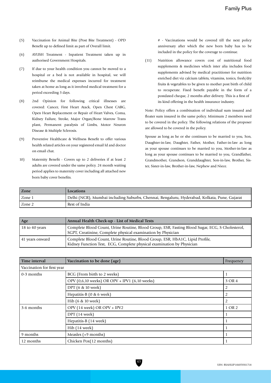- (5) Vaccination for Animal Bite (Post Bite Treatment) OPD Benefit up to defined limit as part of Overall limit.
- (6) AYUSH Treatment Inpatient Treatment taken up in authorised Government Hospitals.
- (7) If due to your health condition you cannot be moved to a hospital or a bed is not available in hospital, we will reimburse the medical expenses incurred for treatment taken at home as long as it involved medical treatment for a period exceeding 3 days.
- (8) 2nd Opinion for following critical illnesses are covered: Cancer, First Heart Atack, Open Chest CABG, Open Heart Replacement or Repair of Heart Valves, Coma, Kidney Failure, Stroke, Major Organ/Bone Marrow Trans plant, Permanent paralysis of Limbs, Motor Neuron Disease & Multiple Sclerosis.
- (9) Preventive Healthcare & Wellness Benefit to offer various health related articles on your registered email Id and doctor on email chat.
- 10) Maternity Benefit Covers up to 2 deliveries if at least 2 adults are covered under the same policy. 24 month waiting period applies to maternity cover including all attached new born baby cover benefits.

# - Vaccinations would be covered till the next policy anniversary after which the new born baby has to be included in the policy for the coverage to continue.

(11) Nutrition allowance covers cost of nutritional food supplements & medicines which inter alia includes food supplements advised by medical practitioner for nutrition enriched diet viz calcium tablets, vitamins, tonics, fresh/dry fruits & vegetables to be given to mother post birth of child to recuperate. Fixed benefit payable in the form of a postdated cheque, 2 months after delivery. This is a first of its kind offering in the health insurance industry.

Note: Policy offers a combination of individual sum insured and floater sum insured in the same policy. Minimum 2 members need to be covered in the policy. The following relations of the proposer are allowed to be covered in the policy.

Spouse as long as he or she continues to be married to you, Son, Daughter-in-law, Daughter, Father, Mother, Father-in-law as long as your spouse continues to be married to you, Mother-in-law as long as your spouse continues to be married to you, Grandfather, Grandmother, Grandson, Granddaughter, Son-in-law, Brother, Sister, Sister-in-law, Brother-in-law, Nephew and Niece.

| <b>Zone</b> | <b>Locations</b>                                                                             |
|-------------|----------------------------------------------------------------------------------------------|
| Zone 1      | Delhi (NCR), Mumbai including Suburbs, Chennai, Bengaluru, Hyderabad, Kolkata, Pune, Gujarat |
| Zone 2      | Rest of India                                                                                |

| Age                    | Annual Health Check-up - List of Medical Tests                                                                                                                  |
|------------------------|-----------------------------------------------------------------------------------------------------------------------------------------------------------------|
| $\vert$ 18 to 40 years | Complete Blood Count, Urine Routine, Blood Group, ESR, Fasting Blood Sugar, ECG, S Cholesterol,<br>SGPT, Creatinine, Complete physical examination by Physician |
| 41 years onward        | Complete Blood Count, Urine Routine, Blood Group, ESR, HbA1C, Lipid Profile,<br>Kidney Function Test, ECG, Complete physical examination by Physician           |

| Time interval              | Vaccination to be done (age)                  | Frequency      |  |  |
|----------------------------|-----------------------------------------------|----------------|--|--|
| Vaccination for first year |                                               |                |  |  |
| 0-3 months                 | BCG (From birth to 2 weeks)                   |                |  |  |
|                            | OPV (0,6,10 weeks) OR OPV + IPV1 (6,10 weeks) | 3 OR 4         |  |  |
|                            | DPT (6 & 10 week)                             | 2              |  |  |
|                            | Hepatitis-B (0 & 6 week)                      | $\overline{2}$ |  |  |
|                            | Hib (6 & 10 week)                             | 2              |  |  |
| 3-6 months                 | OPV (14 week) OR OPV + IPV2                   | 1 OR 2         |  |  |
|                            | DPT (14 week)                                 | Л              |  |  |
|                            | Hepatitis-B (14 week)                         |                |  |  |
|                            | Hib (14 week)                                 |                |  |  |
| 9 months                   | Measles (+9 months)                           |                |  |  |
| 12 months                  | Chicken Pox(12 months)                        |                |  |  |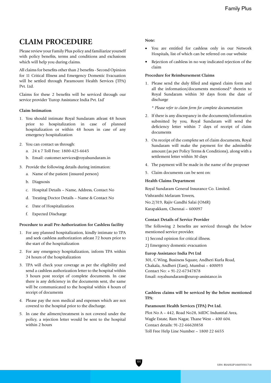## **CLAIM PROCEDURE**

Please review your Family Plus policy and familiarize yourself with policy benefits, terms and conditions and exclusions which will help you during claims.

All claims for benefits other than 2 benefits - Second Opinion for 11 Critical Illness and Emergency Domestic Evacuation will be settled through Paramount Health Services (TPA) Pvt. Ltd.

Claims for these 2 benefits will be serviced through our service provider 'Europ Assistance India Pvt. Ltd'

#### **Claim Intimation**

- 1. You should intimate Royal Sundaram atleast 48 hours prior to hospitalization in case of planned hospitalization or within 48 hours in case of any emergency hospitalization
- 2. You can contact us through:
	- a. 24 x 7 Toll Free: 1800-425-6645
	- b. Email: customer.services@royalsundaram.in
- 3. Provide the following details during intimation:
	- a. Name of the patient (insured person)
	- b. Diagnosis
	- c. Hospital Details Name, Address, Contact No
	- d. Treating Doctor Details Name & Contact No
	- e. Date of Hospitalization
	- f. Expected Discharge

#### **Procedure to avail Pre-Authorization for Cashless facility**

- 1. For any planned hospitalization, kindly intimate to TPA and seek cashless authorization atleast 72 hours prior to the start of the hospitalization
- 2. For any emergency hospitalization, inform TPA within 24 hours of the hospitalization
- 3. TPA will check your coverage as per the eligibility and send a cashless authorization letter to the hospital within 3 hours post receipt of complete documents. In case there is any deficiency in the documents sent, the same will be communicated to the hospital within 4 hours of receipt of documents
- 4. Please pay the non medical and expenses which are not covered to the hospital prior to the discharge.
- 5. In case the ailment/treatment is not covered under the policy, a rejection letter would be sent to the hospital within 2 hours

#### **Note:**

- • You are entitled for cashless only in our Network Hospitals, list of which can be referred on our website
- Rejection of cashless in no way indicated rejection of the claim

#### **Procedure for Reimbursement Claims**

1. Please send the duly filled and signed claim form and all the information/documents mentioned\* therein to Royal Sundaram within 30 days from the date of discharge

*\* Please refer to claim form for complete documentation*

- 2. If there is any discrepancy in the documents/information submitted by you, Royal Sundaram will send the deficiency letter within 7 days of receipt of claim documents
- 3. On receipt of the complete set of claim documents, Royal Sundaram will make the payment for the admissible amount (as per Policy Terms & Conditions), along with a settlement letter within 30 days
- 4. The payment will be made in the name of the proposer
- 5. Claim documents can be sent on:

#### **Health Claims Department**

Royal Sundaram General Insurance Co. Limited.

Vishranthi Melaram Towers,

No.2/319, Rajiv Gandhi Salai (OMR)

Karapakkam, Chennai – 600097

#### **Contact Details of Service Provider**

The following 2 benefits are serviced through the below mentioned service provider.

- 1) Second opinion for critical illness.
- 2) Emergency domestic evacuation

#### **Europ Assistance India Pvt Ltd**

301, C Wing, Business Square, Andheri Kurla Road, Chakala, Andheri (East), Mumbai – 400093 Contact No: + 91-22-67347878 Email: royalsundaram@europ-assistance.in

## **Cashless claims will be serviced by the below mentioned TPA:**

## **Paramount Health Services (TPA) Pvt Ltd.**

Plot No A – 442, Road No28, MIDC Industrial Area, Wagle Estate, Ram Nagar, Thane West – 400 604. Contact details: 91-22-66620858 Toll Free Help Line Number – 1800 22 6655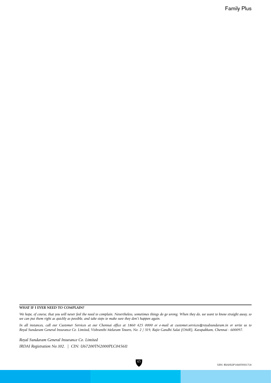#### **WHAT IF I EVER NEED TO COMPLAIN?**

*We hope, of course, that you will never feel the need to complain. Nevertheless, sometimes things do go wrong. When they do, we want to know straight away, so we can put them right as quickly as possible, and take steps to make sure they don't happen again.*

*In all instances, call our Customer Services at our Chennai office at 1860 425 0000 or e-mail at customer.services@royalsundaram.in or write us to Royal Sundaram General Insurance Co. Limited, Vishranthi Melaram Towers, No. 2 / 319, Rajiv Gandhi Salai (OMR), Karapakkam, Chennai - 600097.*

45

*Royal Sundaram General Insurance Co. Limited IRDAI Registration No.102. | CIN: U67200TN2000PLC045611*